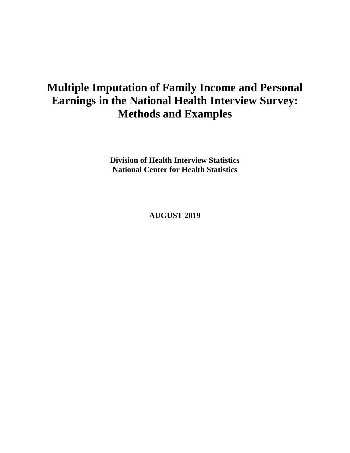# **Multiple Imputation of Family Income and Personal Earnings in the National Health Interview Survey: Methods and Examples**

**Division of Health Interview Statistics National Center for Health Statistics**

**AUGUST 2019**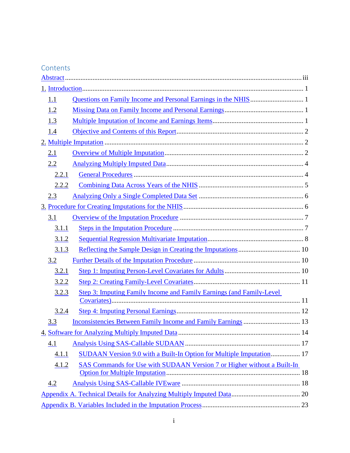## Contents

| 1.1   |                                                                         |  |  |  |
|-------|-------------------------------------------------------------------------|--|--|--|
| 1.2   |                                                                         |  |  |  |
| 1.3   |                                                                         |  |  |  |
| 1.4   |                                                                         |  |  |  |
|       |                                                                         |  |  |  |
| 2.1   |                                                                         |  |  |  |
| 2.2   |                                                                         |  |  |  |
| 2.2.1 |                                                                         |  |  |  |
| 2.2.2 |                                                                         |  |  |  |
| 2.3   |                                                                         |  |  |  |
|       |                                                                         |  |  |  |
| 3.1   |                                                                         |  |  |  |
| 3.1.1 |                                                                         |  |  |  |
| 3.1.2 |                                                                         |  |  |  |
| 3.1.3 |                                                                         |  |  |  |
| 3.2   |                                                                         |  |  |  |
| 3.2.1 |                                                                         |  |  |  |
| 3.2.2 |                                                                         |  |  |  |
| 3.2.3 | Step 3: Imputing Family Income and Family Earnings (and Family-Level)   |  |  |  |
|       |                                                                         |  |  |  |
| 3.2.4 |                                                                         |  |  |  |
| 3.3   |                                                                         |  |  |  |
|       |                                                                         |  |  |  |
| 4.1   |                                                                         |  |  |  |
| 4.1.1 | SUDAAN Version 9.0 with a Built-In Option for Multiple Imputation 17    |  |  |  |
| 4.1.2 | SAS Commands for Use with SUDAAN Version 7 or Higher without a Built-In |  |  |  |
|       |                                                                         |  |  |  |
| 4.2   |                                                                         |  |  |  |
|       |                                                                         |  |  |  |
|       |                                                                         |  |  |  |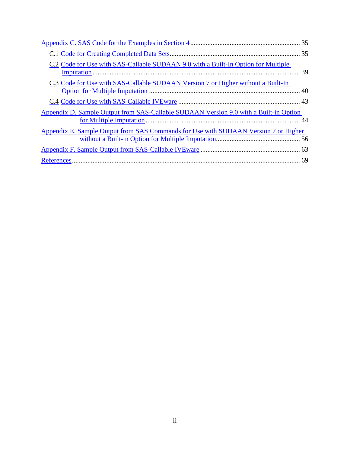| C.2 Code for Use with SAS-Callable SUDAAN 9.0 with a Built-In Option for Multiple     |  |
|---------------------------------------------------------------------------------------|--|
| C.3 Code for Use with SAS-Callable SUDAAN Version 7 or Higher without a Built-In      |  |
|                                                                                       |  |
| Appendix D. Sample Output from SAS-Callable SUDAAN Version 9.0 with a Built-in Option |  |
| Appendix E. Sample Output from SAS Commands for Use with SUDAAN Version 7 or Higher   |  |
|                                                                                       |  |
|                                                                                       |  |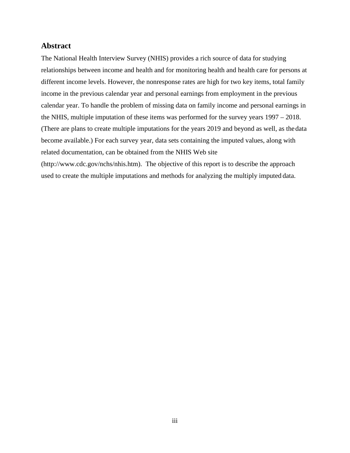#### <span id="page-3-0"></span>**Abstract**

The National Health Interview Survey (NHIS) provides a rich source of data for studying relationships between income and health and for monitoring health and health care for persons at different income levels. However, the nonresponse rates are high for two key items, total family income in the previous calendar year and personal earnings from employment in the previous calendar year. To handle the problem of missing data on family income and personal earnings in the NHIS, multiple imputation of these items was performed for the survey years 1997 – 2018. (There are plans to create multiple imputations for the years 2019 and beyond as well, as the data become available.) For each survey year, data sets containing the imputed values, along with related documentation, can be obtained from the NHIS Web site

[\(http://www.cdc.gov/nchs/nhis.htm\)](http://www.cdc.gov/nchs/nhis.htm). The objective of this report is to describe the approach used to create the multiple imputations and methods for analyzing the multiply imputed data.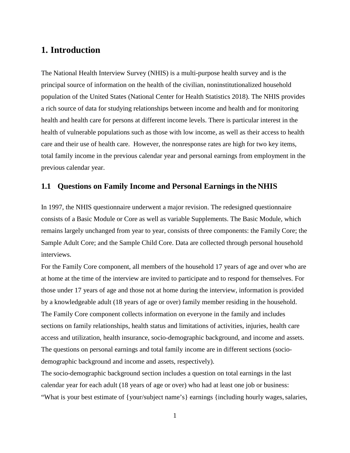## <span id="page-4-0"></span>**1. Introduction**

The National Health Interview Survey (NHIS) is a multi-purpose health survey and is the principal source of information on the health of the civilian, noninstitutionalized household population of the United States (National Center for Health Statistics 2018). The NHIS provides a rich source of data for studying relationships between income and health and for monitoring health and health care for persons at different income levels. There is particular interest in the health of vulnerable populations such as those with low income, as well as their access to health care and their use of health care. However, the nonresponse rates are high for two key items, total family income in the previous calendar year and personal earnings from employment in the previous calendar year.

## <span id="page-4-1"></span>**1.1 Questions on Family Income and Personal Earnings in the NHIS**

In 1997, the NHIS questionnaire underwent a major revision. The redesigned questionnaire consists of a Basic Module or Core as well as variable Supplements. The Basic Module, which remains largely unchanged from year to year, consists of three components: the Family Core; the Sample Adult Core; and the Sample Child Core. Data are collected through personal household interviews.

For the Family Core component, all members of the household 17 years of age and over who are at home at the time of the interview are invited to participate and to respond for themselves. For those under 17 years of age and those not at home during the interview, information is provided by a knowledgeable adult (18 years of age or over) family member residing in the household. The Family Core component collects information on everyone in the family and includes sections on family relationships, health status and limitations of activities, injuries, health care access and utilization, health insurance, socio-demographic background, and income and assets. The questions on personal earnings and total family income are in different sections (sociodemographic background and income and assets, respectively).

The socio-demographic background section includes a question on total earnings in the last calendar year for each adult (18 years of age or over) who had at least one job or business: "What is your best estimate of {your/subject name's} earnings {including hourly wages, salaries,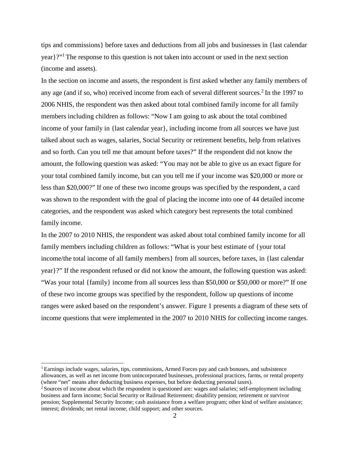tips and commissions} before taxes and deductions from all jobs and businesses in {last calendar year}?["1](#page-5-0) The response to this question is not taken into account or used in the next section (income and assets).

In the section on income and assets, the respondent is first asked whether any family members of any age (and if so, who) received income from each of several different sources.<sup>2</sup> In the 1997 to 2006 NHIS, the respondent was then asked about total combined family income for all family members including children as follows: "Now I am going to ask about the total combined income of your family in {last calendar year}, including income from all sources we have just talked about such as wages, salaries, Social Security or retirement benefits, help from relatives and so forth. Can you tell me that amount before taxes?" If the respondent did not know the amount, the following question was asked: "You may not be able to give us an exact figure for your total combined family income, but can you tell me if your income was \$20,000 or more or less than \$20,000?" If one of these two income groups was specified by the respondent, a card was shown to the respondent with the goal of placing the income into one of 44 detailed income categories, and the respondent was asked which category best represents the total combined family income.

In the 2007 to 2010 NHIS, the respondent was asked about total combined family income for all family members including children as follows: "What is your best estimate of {your total income/the total income of all family members} from all sources, before taxes, in {last calendar year}?" If the respondent refused or did not know the amount, the following question was asked: "Was your total {family} income from all sources less than \$50,000 or \$50,000 or more?" If one of these two income groups was specified by the respondent, follow up questions of income ranges were asked based on the respondent's answer. [Figure 1](#page-6-0) presents a diagram of these sets of income questions that were implemented in the 2007 to 2010 NHIS for collecting income ranges.

<span id="page-5-0"></span><sup>1</sup> Earnings include wages, salaries, tips, commissions, Armed Forces pay and cash bonuses, and subsistence allowances, as well as net income from unincorporated businesses, professional practices, farms, or rental property (where "net" means after deducting business expenses, but before deducting personal taxes).

<span id="page-5-1"></span><sup>&</sup>lt;sup>2</sup> Sources of income about which the respondent is questioned are: wages and salaries; self-employment including business and farm income; Social Security or Railroad Retirement; disability pension; retirement or survivor pension; Supplemental Security Income; cash assistance from a welfare program; other kind of welfare assistance; interest; dividends; net rental income; child support; and other sources.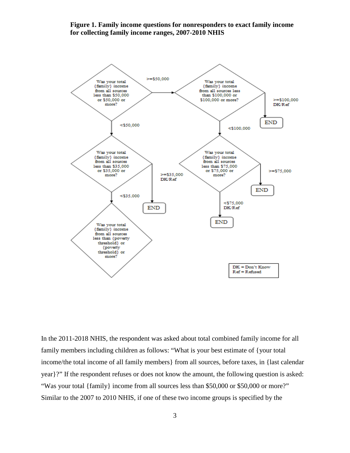#### <span id="page-6-0"></span>**Figure 1. Family income questions for nonresponders to exact family income for collecting family income ranges, 2007-2010 NHIS**



In the 2011-2018 NHIS, the respondent was asked about total combined family income for all family members including children as follows: "What is your best estimate of {your total income/the total income of all family members} from all sources, before taxes, in {last calendar year}?" If the respondent refuses or does not know the amount, the following question is asked: "Was your total {family} income from all sources less than \$50,000 or \$50,000 or more?" Similar to the 2007 to 2010 NHIS, if one of these two income groups is specified by the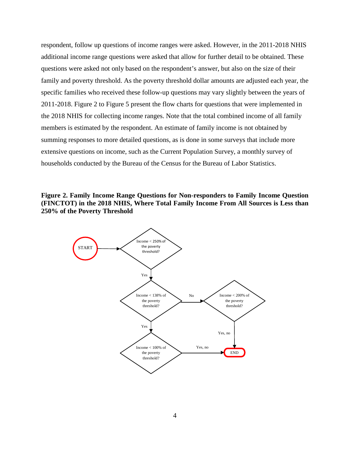respondent, follow up questions of income ranges were asked. However, in the 2011-2018 NHIS additional income range questions were asked that allow for further detail to be obtained. These questions were asked not only based on the respondent's answer, but also on the size of their family and poverty threshold. As the poverty threshold dollar amounts are adjusted each year, the specific families who received these follow-up questions may vary slightly between the years of 2011-2018. [Figure 2](#page-7-0) to [Figure 5](#page-10-0) present the flow charts for questions that were implemented in the 2018 NHIS for collecting income ranges. Note that the total combined income of all family members is estimated by the respondent. An estimate of family income is not obtained by summing responses to more detailed questions, as is done in some surveys that include more extensive questions on income, such as the Current Population Survey, a monthly survey of households conducted by the Bureau of the Census for the Bureau of Labor Statistics.

<span id="page-7-0"></span>**Figure 2. Family Income Range Questions for Non-responders to Family Income Question (FINCTOT) in the 2018 NHIS, Where Total Family Income From All Sources is Less than 250% of the Poverty Threshold** 

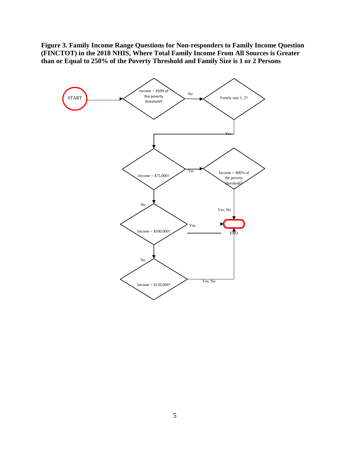**Figure 3. Family Income Range Questions for Non-responders to Family Income Question (FINCTOT) in the 2018 NHIS, Where Total Family Income From All Sources is Greater than or Equal to 250% of the Poverty Threshold and Family Size is 1 or 2 Persons**

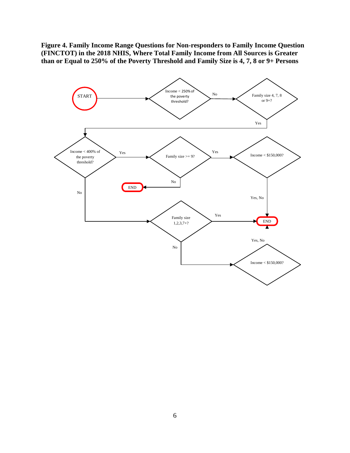**Figure 4. Family Income Range Questions for Non-responders to Family Income Question (FINCTOT) in the 2018 NHIS, Where Total Family Income from All Sources is Greater than or Equal to 250% of the Poverty Threshold and Family Size is 4, 7, 8 or 9+ Persons** 

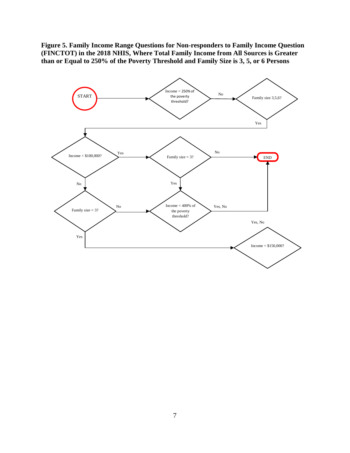<span id="page-10-0"></span>**Figure 5. Family Income Range Questions for Non-responders to Family Income Question (FINCTOT) in the 2018 NHIS, Where Total Family Income from All Sources is Greater than or Equal to 250% of the Poverty Threshold and Family Size is 3, 5, or 6 Persons** 

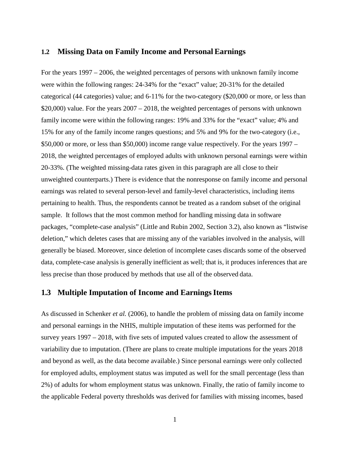#### <span id="page-11-0"></span>**1.2 Missing Data on Family Income and Personal Earnings**

For the years 1997 – 2006, the weighted percentages of persons with unknown family income were within the following ranges: 24-34% for the "exact" value; 20-31% for the detailed categorical (44 categories) value; and 6-11% for the two-category (\$20,000 or more, or less than \$20,000) value. For the years 2007 – 2018, the weighted percentages of persons with unknown family income were within the following ranges: 19% and 33% for the "exact" value; 4% and 15% for any of the family income ranges questions; and 5% and 9% for the two-category (i.e., \$50,000 or more, or less than \$50,000) income range value respectively. For the years 1997 – 2018, the weighted percentages of employed adults with unknown personal earnings were within 20-33%. (The weighted missing-data rates given in this paragraph are all close to their unweighted counterparts.) There is evidence that the nonresponse on family income and personal earnings was related to several person-level and family-level characteristics, including items pertaining to health. Thus, the respondents cannot be treated as a random subset of the original sample. It follows that the most common method for handling missing data in software packages, "complete-case analysis" (Little and Rubin 2002, Section 3.2), also known as "listwise deletion," which deletes cases that are missing any of the variables involved in the analysis, will generally be biased. Moreover, since deletion of incomplete cases discards some of the observed data, complete-case analysis is generally inefficient as well; that is, it produces inferences that are less precise than those produced by methods that use all of the observed data.

#### <span id="page-11-1"></span>**1.3 Multiple Imputation of Income and Earnings Items**

As discussed in Schenker *et al.* (2006), to handle the problem of missing data on family income and personal earnings in the NHIS, multiple imputation of these items was performed for the survey years 1997 – 2018, with five sets of imputed values created to allow the assessment of variability due to imputation. (There are plans to create multiple imputations for the years 2018 and beyond as well, as the data become available.) Since personal earnings were only collected for employed adults, employment status was imputed as well for the small percentage (less than 2%) of adults for whom employment status was unknown. Finally, the ratio of family income to the applicable Federal poverty thresholds was derived for families with missing incomes, based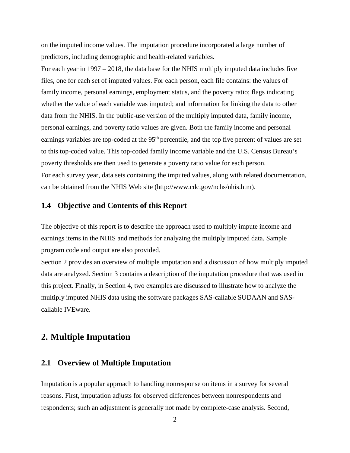on the imputed income values. The imputation procedure incorporated a large number of predictors, including demographic and health-related variables.

For each year in 1997 – 2018, the data base for the NHIS multiply imputed data includes five files, one for each set of imputed values. For each person, each file contains: the values of family income, personal earnings, employment status, and the poverty ratio; flags indicating whether the value of each variable was imputed; and information for linking the data to other data from the NHIS. In the public-use version of the multiply imputed data, family income, personal earnings, and poverty ratio values are given. Both the family income and personal earnings variables are top-coded at the 95<sup>th</sup> percentile, and the top five percent of values are set to this top-coded value. This top-coded family income variable and the U.S. Census Bureau's poverty thresholds are then used to generate a poverty ratio value for each person. For each survey year, data sets containing the imputed values, along with related documentation, can be obtained from the NHIS Web site [\(http://www.cdc.gov/nchs/nhis.htm\).](http://www.cdc.gov/nchs/nhis.htm))

#### <span id="page-12-0"></span>**1.4 Objective and Contents of this Report**

The objective of this report is to describe the approach used to multiply impute income and earnings items in the NHIS and methods for analyzing the multiply imputed data. Sample program code and output are also provided.

[Section 2](#page-12-1) provides an overview of multiple imputation and a discussion of how multiply imputed data are analyzed. Section 3 contains a description of the imputation procedure that was used in this project. Finally, in Section 4, two examples are discussed to illustrate how to analyze the multiply imputed NHIS data using the software packages SAS-callable SUDAAN and SAScallable IVEware.

## <span id="page-12-1"></span>**2. Multiple Imputation**

## <span id="page-12-2"></span>**2.1 Overview of Multiple Imputation**

Imputation is a popular approach to handling nonresponse on items in a survey for several reasons. First, imputation adjusts for observed differences between nonrespondents and respondents; such an adjustment is generally not made by complete-case analysis. Second,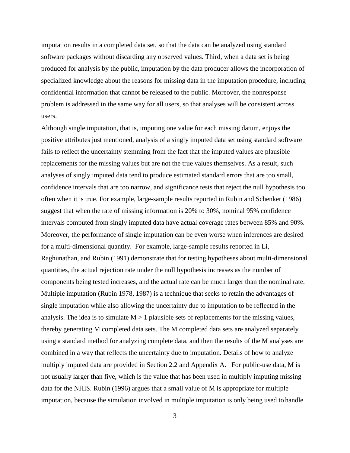imputation results in a completed data set, so that the data can be analyzed using standard software packages without discarding any observed values. Third, when a data set is being produced for analysis by the public, imputation by the data producer allows the incorporation of specialized knowledge about the reasons for missing data in the imputation procedure, including confidential information that cannot be released to the public. Moreover, the nonresponse problem is addressed in the same way for all users, so that analyses will be consistent across users.

Although single imputation, that is, imputing one value for each missing datum, enjoys the positive attributes just mentioned, analysis of a singly imputed data set using standard software fails to reflect the uncertainty stemming from the fact that the imputed values are plausible replacements for the missing values but are not the true values themselves. As a result, such analyses of singly imputed data tend to produce estimated standard errors that are too small, confidence intervals that are too narrow, and significance tests that reject the null hypothesis too often when it is true. For example, large-sample results reported in Rubin and Schenker (1986) suggest that when the rate of missing information is 20% to 30%, nominal 95% confidence intervals computed from singly imputed data have actual coverage rates between 85% and 90%. Moreover, the performance of single imputation can be even worse when inferences are desired for a multi-dimensional quantity. For example, large-sample results reported in Li, Raghunathan, and Rubin (1991) demonstrate that for testing hypotheses about multi-dimensional quantities, the actual rejection rate under the null hypothesis increases as the number of components being tested increases, and the actual rate can be much larger than the nominal rate. Multiple imputation (Rubin 1978, 1987) is a technique that seeks to retain the advantages of single imputation while also allowing the uncertainty due to imputation to be reflected in the analysis. The idea is to simulate  $M > 1$  plausible sets of replacements for the missing values, thereby generating M completed data sets. The M completed data sets are analyzed separately using a standard method for analyzing complete data, and then the results of the M analyses are combined in a way that reflects the uncertainty due to imputation. Details of how to analyze multiply imputed data are provided in [Section 2.2](#page-14-0) and [Appendix A.](#page-30-0) For public-use data, M is not usually larger than five, which is the value that has been used in multiply imputing missing data for the NHIS. Rubin (1996) argues that a small value of M is appropriate for multiple imputation, because the simulation involved in multiple imputation is only being used to handle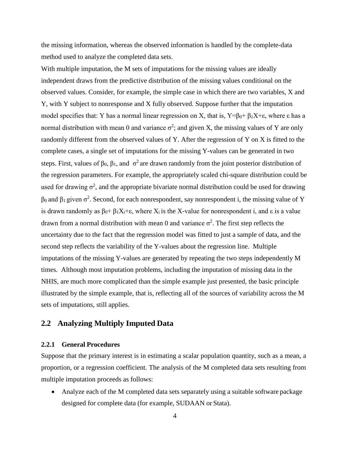the missing information, whereas the observed information is handled by the complete-data method used to analyze the completed data sets.

With multiple imputation, the M sets of imputations for the missing values are ideally independent draws from the predictive distribution of the missing values conditional on the observed values. Consider, for example, the simple case in which there are two variables, X and Y, with Y subject to nonresponse and X fully observed. Suppose further that the imputation model specifies that: Y has a normal linear regression on X, that is,  $Y=\beta_0+\beta_1X+\epsilon$ , where  $\epsilon$  has a normal distribution with mean 0 and variance  $\sigma^2$ ; and given X, the missing values of Y are only randomly different from the observed values of Y. After the regression of Y on X is fitted to the complete cases, a single set of imputations for the missing Y-values can be generated in two steps. First, values of  $\beta_0$ ,  $\beta_1$ , and  $\sigma^2$  are drawn randomly from the joint posterior distribution of the regression parameters. For example, the appropriately scaled chi-square distribution could be used for drawing  $\sigma^2$ , and the appropriate bivariate normal distribution could be used for drawing  $β_0$  and  $β_1$  given  $σ^2$ . Second, for each nonrespondent, say nonrespondent i, the missing value of Y is drawn randomly as  $\beta_0$ +  $\beta_1 X_i$ +ε, where  $X_i$  is the X-value for nonrespondent i, and  $\varepsilon$  is a value drawn from a normal distribution with mean 0 and variance  $\sigma^2$ . The first step reflects the uncertainty due to the fact that the regression model was fitted to just a sample of data, and the second step reflects the variability of the Y-values about the regression line. Multiple imputations of the missing Y-values are generated by repeating the two steps independently M times. Although most imputation problems, including the imputation of missing data in the NHIS, are much more complicated than the simple example just presented, the basic principle illustrated by the simple example, that is, reflecting all of the sources of variability across the M sets of imputations, still applies.

## <span id="page-14-0"></span>**2.2 Analyzing Multiply Imputed Data**

#### <span id="page-14-1"></span>**2.2.1 General Procedures**

Suppose that the primary interest is in estimating a scalar population quantity, such as a mean, a proportion, or a regression coefficient. The analysis of the M completed data sets resulting from multiple imputation proceeds as follows:

• Analyze each of the M completed data sets separately using a suitable software package designed for complete data (for example, SUDAAN or Stata).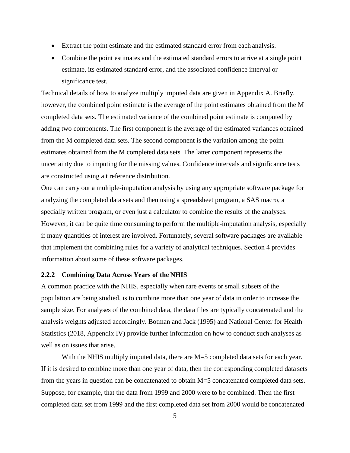- Extract the point estimate and the estimated standard error from each analysis.
- Combine the point estimates and the estimated standard errors to arrive at a single point estimate, its estimated standard error, and the associated confidence interval or significance test.

Technical details of how to analyze multiply imputed data are given in [Appendix A.](#page-30-0) Briefly, however, the combined point estimate is the average of the point estimates obtained from the M completed data sets. The estimated variance of the combined point estimate is computed by adding two components. The first component is the average of the estimated variances obtained from the M completed data sets. The second component is the variation among the point estimates obtained from the M completed data sets. The latter component represents the uncertainty due to imputing for the missing values. Confidence intervals and significance tests are constructed using a t reference distribution.

One can carry out a multiple-imputation analysis by using any appropriate software package for analyzing the completed data sets and then using a spreadsheet program, a SAS macro, a specially written program, or even just a calculator to combine the results of the analyses. However, it can be quite time consuming to perform the multiple-imputation analysis, especially if many quantities of interest are involved. Fortunately, several software packages are available that implement the combining rules for a variety of analytical techniques. Section [4](#page-24-0) provides information about some of these software packages.

#### <span id="page-15-0"></span>**2.2.2 Combining Data Across Years of the NHIS**

A common practice with the NHIS, especially when rare events or small subsets of the population are being studied, is to combine more than one year of data in order to increase the sample size. For analyses of the combined data, the data files are typically concatenated and the analysis weights adjusted accordingly. Botman and Jack (1995) and National Center for Health Statistics (2018, Appendix IV) provide further information on how to conduct such analyses as well as on issues that arise.

With the NHIS multiply imputed data, there are M=5 completed data sets for each year. If it is desired to combine more than one year of data, then the corresponding completed data sets from the years in question can be concatenated to obtain M=5 concatenated completed data sets. Suppose, for example, that the data from 1999 and 2000 were to be combined. Then the first completed data set from 1999 and the first completed data set from 2000 would be concatenated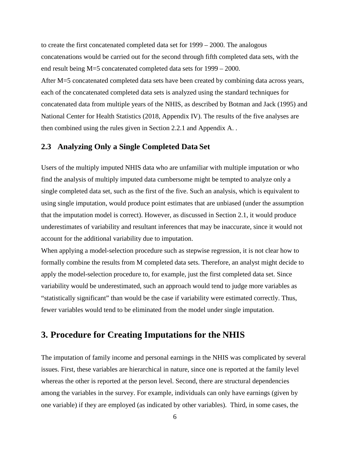to create the first concatenated completed data set for 1999 – 2000. The analogous concatenations would be carried out for the second through fifth completed data sets, with the end result being M=5 concatenated completed data sets for 1999 – 2000. After M=5 concatenated completed data sets have been created by combining data across years, each of the concatenated completed data sets is analyzed using the standard techniques for concatenated data from multiple years of the NHIS, as described by Botman and Jack (1995) and National Center for Health Statistics (2018, Appendix IV). The results of the five analyses are then combined using the rules given in [Section 2.2.1](#page-14-1) and [Appendix A. .](#page-30-0)

#### <span id="page-16-0"></span>**2.3 Analyzing Only a Single Completed Data Set**

Users of the multiply imputed NHIS data who are unfamiliar with multiple imputation or who find the analysis of multiply imputed data cumbersome might be tempted to analyze only a single completed data set, such as the first of the five. Such an analysis, which is equivalent to using single imputation, would produce point estimates that are unbiased (under the assumption that the imputation model is correct). However, as discussed in [Section 2.1,](#page-12-2) it would produce underestimates of variability and resultant inferences that may be inaccurate, since it would not account for the additional variability due to imputation.

When applying a model-selection procedure such as stepwise regression, it is not clear how to formally combine the results from M completed data sets. Therefore, an analyst might decide to apply the model-selection procedure to, for example, just the first completed data set. Since variability would be underestimated, such an approach would tend to judge more variables as "statistically significant" than would be the case if variability were estimated correctly. Thus, fewer variables would tend to be eliminated from the model under single imputation.

## <span id="page-16-1"></span>**3. Procedure for Creating Imputations for the NHIS**

The imputation of family income and personal earnings in the NHIS was complicated by several issues. First, these variables are hierarchical in nature, since one is reported at the family level whereas the other is reported at the person level. Second, there are structural dependencies among the variables in the survey. For example, individuals can only have earnings (given by one variable) if they are employed (as indicated by other variables). Third, in some cases, the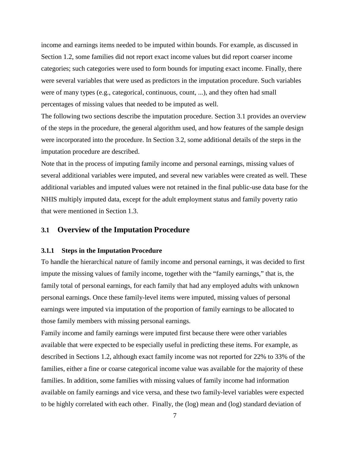income and earnings items needed to be imputed within bounds. For example, as discussed in [Section 1.2,](#page-11-0) some families did not report exact income values but did report coarser income categories; such categories were used to form bounds for imputing exact income. Finally, there were several variables that were used as predictors in the imputation procedure. Such variables were of many types (e.g., categorical, continuous, count, ...), and they often had small percentages of missing values that needed to be imputed as well.

The following two sections describe the imputation procedure. [Section 3.1](#page-17-0) provides an overview of the steps in the procedure, the general algorithm used, and how features of the sample design were incorporated into the procedure. In Section [3.2,](#page-20-1) some additional details of the steps in the imputation procedure are described.

Note that in the process of imputing family income and personal earnings, missing values of several additional variables were imputed, and several new variables were created as well. These additional variables and imputed values were not retained in the final public-use data base for the NHIS multiply imputed data, except for the adult employment status and family poverty ratio that were mentioned in [Section 1.3.](#page-11-1)

#### <span id="page-17-0"></span>**3.1 Overview of the Imputation Procedure**

#### <span id="page-17-1"></span>**3.1.1 Steps in the Imputation Procedure**

To handle the hierarchical nature of family income and personal earnings, it was decided to first impute the missing values of family income, together with the "family earnings," that is, the family total of personal earnings, for each family that had any employed adults with unknown personal earnings. Once these family-level items were imputed, missing values of personal earnings were imputed via imputation of the proportion of family earnings to be allocated to those family members with missing personal earnings.

Family income and family earnings were imputed first because there were other variables available that were expected to be especially useful in predicting these items. For example, as described in Sections [1.2,](#page-11-0) although exact family income was not reported for 22% to 33% of the families, either a fine or coarse categorical income value was available for the majority of these families. In addition, some families with missing values of family income had information available on family earnings and vice versa, and these two family-level variables were expected to be highly correlated with each other. Finally, the (log) mean and (log) standard deviation of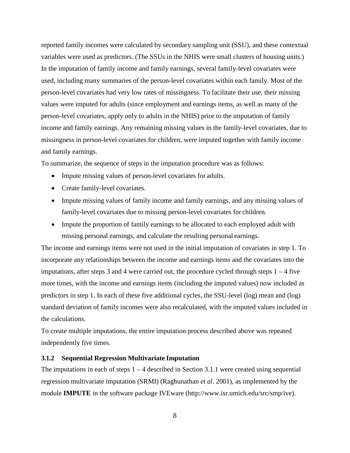reported family incomes were calculated by secondary sampling unit (SSU), and these contextual variables were used as predictors. (The SSUs in the NHIS were small clusters of housing units.) In the imputation of family income and family earnings, several family-level covariates were used, including many summaries of the person-level covariates within each family. Most of the person-level covariates had very low rates of missingness. To facilitate their use, their missing values were imputed for adults (since employment and earnings items, as well as many of the person-level covariates, apply only to adults in the NHIS) prior to the imputation of family income and family earnings. Any remaining missing values in the family-level covariates, due to missingness in person-level covariates for children, were imputed together with family income and family earnings.

To summarize, the sequence of steps in the imputation procedure was as follows:

- Impute missing values of person-level covariates for adults.
- Create family-level covariates.
- Impute missing values of family income and family earnings, and any missing values of family-level covariates due to missing person-level covariates for children.
- Impute the proportion of family earnings to be allocated to each employed adult with missing personal earnings, and calculate the resulting personal earnings.

The income and earnings items were not used in the initial imputation of covariates in step 1. To incorporate any relationships between the income and earnings items and the covariates into the imputations, after steps 3 and 4 were carried out, the procedure cycled through steps  $1 - 4$  five more times, with the income and earnings items (including the imputed values) now included as predictors in step 1. In each of these five additional cycles, the SSU-level (log) mean and (log) standard deviation of family incomes were also recalculated, with the imputed values included in the calculations.

To create multiple imputations, the entire imputation process described above was repeated independently five times.

#### <span id="page-18-0"></span>**3.1.2 Sequential Regression Multivariate Imputation**

The imputations in each of steps  $1 - 4$  described in [Section 3.1.1](#page-17-1) were created using sequential regression multivariate imputation (SRMI) (Raghunathan *et al*. 2001), as implemented by the module **IMPUTE** in the software package IVEware [\(http://www.isr.umich.edu/src/smp/ive](http://www.isr.umich.edu/src/smp/ive)).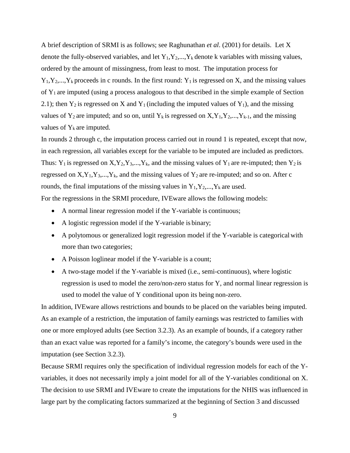A brief description of SRMI is as follows; see Raghunathan *et al*. (2001) for details. Let X denote the fully-observed variables, and let  $Y_1, Y_2, ..., Y_k$  denote k variables with missing values, ordered by the amount of missingness, from least to most. The imputation process for  $Y_1, Y_2,..., Y_k$  proceeds in c rounds. In the first round:  $Y_1$  is regressed on X, and the missing values of Y1 are imputed (using a process analogous to that described in the simple example of Section 2.1); then  $Y_2$  is regressed on X and  $Y_1$  (including the imputed values of  $Y_1$ ), and the missing values of  $Y_2$  are imputed; and so on, until  $Y_k$  is regressed on  $X, Y_1, Y_2, \ldots, Y_{k-1}$ , and the missing values of  $Y_k$  are imputed.

In rounds 2 through c, the imputation process carried out in round 1 is repeated, except that now, in each regression, all variables except for the variable to be imputed are included as predictors. Thus:  $Y_1$  is regressed on  $X, Y_2, Y_3, \ldots, Y_k$ , and the missing values of  $Y_1$  are re-imputed; then  $Y_2$  is regressed on  $X, Y_1, Y_3, \ldots, Y_k$ , and the missing values of  $Y_2$  are re-imputed; and so on. After c rounds, the final imputations of the missing values in  $Y_1, Y_2, \ldots, Y_k$  are used.

For the regressions in the SRMI procedure, IVEware allows the following models:

- A normal linear regression model if the Y-variable is continuous;
- A logistic regression model if the Y-variable is binary;
- A polytomous or generalized logit regression model if the Y-variable is categorical with more than two categories;
- A Poisson loglinear model if the Y-variable is a count;
- A two-stage model if the Y-variable is mixed (i.e., semi-continuous), where logistic regression is used to model the zero/non-zero status for Y, and normal linear regression is used to model the value of Y conditional upon its being non-zero.

In addition, IVEware allows restrictions and bounds to be placed on the variables being imputed. As an example of a restriction, the imputation of family earnings was restricted to families with one or more employed adults (see [Section 3.2.3\)](#page-21-1). As an example of bounds, if a category rather than an exact value was reported for a family's income, the category's bounds were used in the imputation (see Section [3.2.3\)](#page-21-1).

Because SRMI requires only the specification of individual regression models for each of the Yvariables, it does not necessarily imply a joint model for all of the Y-variables conditional on X. The decision to use SRMI and IVEware to create the imputations for the NHIS was influenced in large part by the complicating factors summarized at the beginning of [Section 3](#page-16-1) and discussed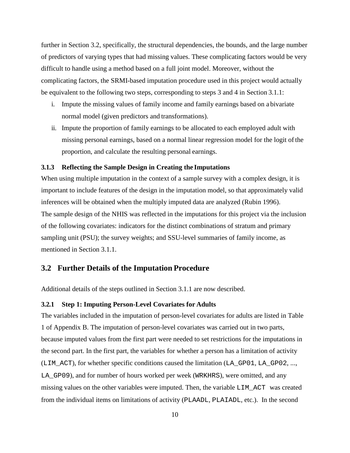further in [Section 3.2,](#page-20-1) specifically, the structural dependencies, the bounds, and the large number of predictors of varying types that had missing values. These complicating factors would be very difficult to handle using a method based on a full joint model. Moreover, without the complicating factors, the SRMI-based imputation procedure used in this project would actually be equivalent to the following two steps, corresponding to steps 3 and 4 in Section [3.1.1:](#page-17-1)

- i. Impute the missing values of family income and family earnings based on a bivariate normal model (given predictors and transformations).
- ii. Impute the proportion of family earnings to be allocated to each employed adult with missing personal earnings, based on a normal linear regression model for the logit of the proportion, and calculate the resulting personal earnings.

#### <span id="page-20-0"></span>**3.1.3 Reflecting the Sample Design in Creating the Imputations**

When using multiple imputation in the context of a sample survey with a complex design, it is important to include features of the design in the imputation model, so that approximately valid inferences will be obtained when the multiply imputed data are analyzed (Rubin 1996). The sample design of the NHIS was reflected in the imputations for this project via the inclusion of the following covariates: indicators for the distinct combinations of stratum and primary sampling unit (PSU); the survey weights; and SSU-level summaries of family income, as mentioned in [Section 3.1.1.](#page-17-1)

## <span id="page-20-1"></span>**3.2 Further Details of the Imputation Procedure**

Additional details of the steps outlined in [Section 3.1.1](#page-17-1) are now described.

#### <span id="page-20-2"></span>**3.2.1 Step 1: Imputing Person-Level Covariates for Adults**

The variables included in the imputation of person-level covariates for adults are listed in Table 1 of [Appendix B.](#page-35-0) The imputation of person-level covariates was carried out in two parts, because imputed values from the first part were needed to set restrictions for the imputations in the second part. In the first part, the variables for whether a person has a limitation of activity (LIM\_ACT), for whether specific conditions caused the limitation (LA\_GP01, LA\_GP02, ..., LA\_GP09), and for number of hours worked per week (WRKHRS), were omitted, and any missing values on the other variables were imputed. Then, the variable LIM\_ACT was created from the individual items on limitations of activity (PLAADL, PLAIADL, etc.). In the second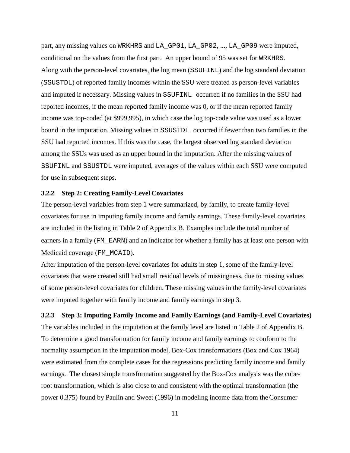part, any missing values on WRKHRS and LA\_GP01, LA\_GP02, ..., LA\_GP09 were imputed, conditional on the values from the first part. An upper bound of 95 was set for WRKHRS. Along with the person-level covariates, the log mean (SSUFINL) and the log standard deviation (SSUSTDL) of reported family incomes within the SSU were treated as person-level variables and imputed if necessary. Missing values in SSUFINL occurred if no families in the SSU had reported incomes, if the mean reported family income was 0, or if the mean reported family income was top-coded (at \$999,995), in which case the log top-code value was used as a lower bound in the imputation. Missing values in SSUSTDL occurred if fewer than two families in the SSU had reported incomes. If this was the case, the largest observed log standard deviation among the SSUs was used as an upper bound in the imputation. After the missing values of SSUFINL and SSUSTDL were imputed, averages of the values within each SSU were computed for use in subsequent steps.

#### <span id="page-21-0"></span>**3.2.2 Step 2: Creating Family-Level Covariates**

The person-level variables from step 1 were summarized, by family, to create family-level covariates for use in imputing family income and family earnings. These family-level covariates are included in the listing in Table 2 of [Appendix B.](#page-35-0) Examples include the total number of earners in a family (FM\_EARN) and an indicator for whether a family has at least one person with Medicaid coverage (FM\_MCAID).

After imputation of the person-level covariates for adults in step 1, some of the family-level covariates that were created still had small residual levels of missingness, due to missing values of some person-level covariates for children. These missing values in the family-level covariates were imputed together with family income and family earnings in step 3.

## <span id="page-21-1"></span>**3.2.3 Step 3: Imputing Family Income and Family Earnings (and Family-Level Covariates)**  The variables included in the imputation at the family level are listed in Table 2 of [Appendix B.](#page-35-0) To determine a good transformation for family income and family earnings to conform to the normality assumption in the imputation model, Box-Cox transformations (Box and Cox 1964) were estimated from the complete cases for the regressions predicting family income and family

earnings. The closest simple transformation suggested by the Box-Cox analysis was the cuberoot transformation, which is also close to and consistent with the optimal transformation (the power 0.375) found by Paulin and Sweet (1996) in modeling income data from the Consumer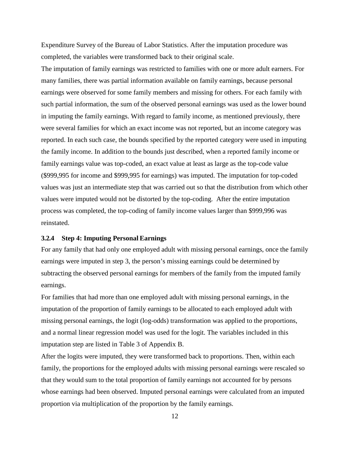Expenditure Survey of the Bureau of Labor Statistics. After the imputation procedure was completed, the variables were transformed back to their original scale.

The imputation of family earnings was restricted to families with one or more adult earners. For many families, there was partial information available on family earnings, because personal earnings were observed for some family members and missing for others. For each family with such partial information, the sum of the observed personal earnings was used as the lower bound in imputing the family earnings. With regard to family income, as mentioned previously, there were several families for which an exact income was not reported, but an income category was reported. In each such case, the bounds specified by the reported category were used in imputing the family income. In addition to the bounds just described, when a reported family income or family earnings value was top-coded, an exact value at least as large as the top-code value (\$999,995 for income and \$999,995 for earnings) was imputed. The imputation for top-coded values was just an intermediate step that was carried out so that the distribution from which other values were imputed would not be distorted by the top-coding. After the entire imputation process was completed, the top-coding of family income values larger than \$999,996 was reinstated.

#### <span id="page-22-0"></span>**3.2.4 Step 4: Imputing Personal Earnings**

For any family that had only one employed adult with missing personal earnings, once the family earnings were imputed in step 3, the person's missing earnings could be determined by subtracting the observed personal earnings for members of the family from the imputed family earnings.

For families that had more than one employed adult with missing personal earnings, in the imputation of the proportion of family earnings to be allocated to each employed adult with missing personal earnings, the logit (log-odds) transformation was applied to the proportions, and a normal linear regression model was used for the logit. The variables included in this imputation step are listed in Table 3 of [Appendix B.](#page-35-0)

After the logits were imputed, they were transformed back to proportions. Then, within each family, the proportions for the employed adults with missing personal earnings were rescaled so that they would sum to the total proportion of family earnings not accounted for by persons whose earnings had been observed. Imputed personal earnings were calculated from an imputed proportion via multiplication of the proportion by the family earnings.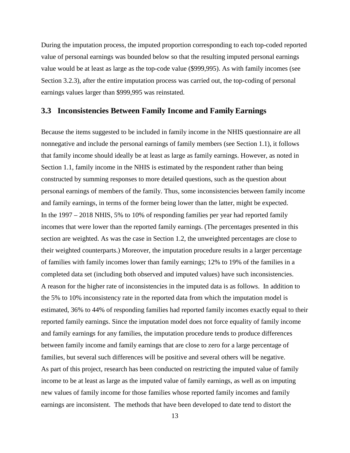During the imputation process, the imputed proportion corresponding to each top-coded reported value of personal earnings was bounded below so that the resulting imputed personal earnings value would be at least as large as the top-code value (\$999,995). As with family incomes (see [Section 3.2.3\),](#page-21-1) after the entire imputation process was carried out, the top-coding of personal earnings values larger than \$999,995 was reinstated.

#### <span id="page-23-0"></span>**3.3 Inconsistencies Between Family Income and Family Earnings**

Because the items suggested to be included in family income in the NHIS questionnaire are all nonnegative and include the personal earnings of family members (see [Section 1.1\),](#page-4-1) it follows that family income should ideally be at least as large as family earnings. However, as noted in Section [1.1,](#page-4-1) family income in the NHIS is estimated by the respondent rather than being constructed by summing responses to more detailed questions, such as the question about personal earnings of members of the family. Thus, some inconsistencies between family income and family earnings, in terms of the former being lower than the latter, might be expected. In the 1997 – 2018 NHIS, 5% to 10% of responding families per year had reported family incomes that were lower than the reported family earnings. (The percentages presented in this section are weighted. As was the case in Section [1.2,](#page-11-0) the unweighted percentages are close to their weighted counterparts.) Moreover, the imputation procedure results in a larger percentage of families with family incomes lower than family earnings; 12% to 19% of the families in a completed data set (including both observed and imputed values) have such inconsistencies. A reason for the higher rate of inconsistencies in the imputed data is as follows. In addition to the 5% to 10% inconsistency rate in the reported data from which the imputation model is estimated, 36% to 44% of responding families had reported family incomes exactly equal to their reported family earnings. Since the imputation model does not force equality of family income and family earnings for any families, the imputation procedure tends to produce differences between family income and family earnings that are close to zero for a large percentage of families, but several such differences will be positive and several others will be negative. As part of this project, research has been conducted on restricting the imputed value of family income to be at least as large as the imputed value of family earnings, as well as on imputing new values of family income for those families whose reported family incomes and family earnings are inconsistent. The methods that have been developed to date tend to distort the

13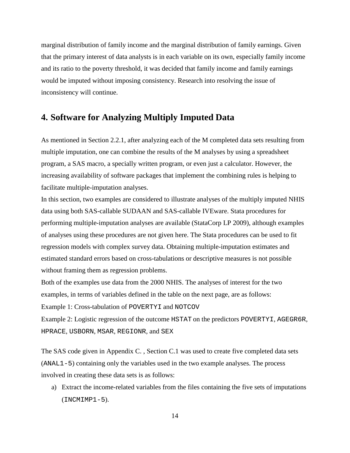marginal distribution of family income and the marginal distribution of family earnings. Given that the primary interest of data analysts is in each variable on its own, especially family income and its ratio to the poverty threshold, it was decided that family income and family earnings would be imputed without imposing consistency. Research into resolving the issue of inconsistency will continue.

## <span id="page-24-0"></span>**4. Software for Analyzing Multiply Imputed Data**

As mentioned in [Section 2.2.1,](#page-14-1) after analyzing each of the M completed data sets resulting from multiple imputation, one can combine the results of the M analyses by using a spreadsheet program, a SAS macro, a specially written program, or even just a calculator. However, the increasing availability of software packages that implement the combining rules is helping to facilitate multiple-imputation analyses.

In this section, two examples are considered to illustrate analyses of the multiply imputed NHIS data using both SAS-callable SUDAAN and SAS-callable IVEware. Stata procedures for performing multiple-imputation analyses are available (StataCorp LP 2009), although examples of analyses using these procedures are not given here. The Stata procedures can be used to fit regression models with complex survey data. Obtaining multiple-imputation estimates and estimated standard errors based on cross-tabulations or descriptive measures is not possible without framing them as regression problems.

Both of the examples use data from the 2000 NHIS. The analyses of interest for the two examples, in terms of variables defined in the table on the next page, are as follows:

Example 1: Cross-tabulation of POVERTYI and NOTCOV

Example 2: Logistic regression of the outcome HSTAT on the predictors POVERTYI, AGEGR6R, HPRACE, USBORN, MSAR, REGIONR, and SEX

The SAS code given in [Appendix C.](#page-47-0) , Section [C.1](#page-47-1) was used to create five completed data sets (ANAL1-5) containing only the variables used in the two example analyses. The process involved in creating these data sets is as follows:

a) Extract the income-related variables from the files containing the five sets of imputations (INCMIMP1-5).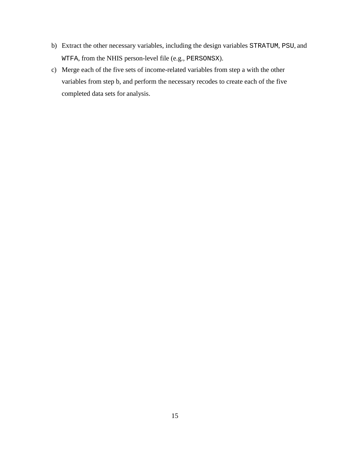- b) Extract the other necessary variables, including the design variables STRATUM, PSU, and WTFA, from the NHIS person-level file (e.g., PERSONSX).
- c) Merge each of the five sets of income-related variables from step a with the other variables from step b, and perform the necessary recodes to create each of the five completed data sets for analysis.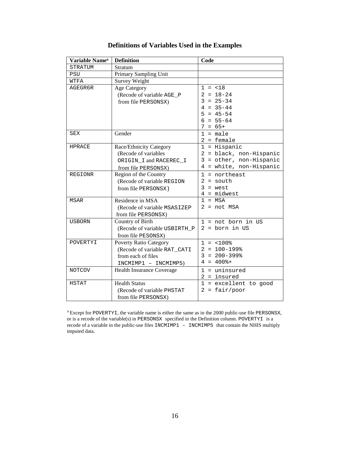| Variable Name <sup>a</sup> | <b>Definition</b>                                                                                           | Code                                                                                                     |
|----------------------------|-------------------------------------------------------------------------------------------------------------|----------------------------------------------------------------------------------------------------------|
| <b>STRATUM</b>             | Stratum                                                                                                     |                                                                                                          |
| <b>PSU</b>                 | Primary Sampling Unit                                                                                       |                                                                                                          |
| WTFA                       | <b>Survey Weight</b>                                                                                        |                                                                                                          |
| AGEGR6R                    | Age Category<br>(Recode of variable AGE_P<br>from file PERSONSX)                                            | $1 = < 18$<br>$2 = 18 - 24$<br>$3 = 25 - 34$<br>$= 35 - 44$<br>4<br>5<br>$= 45 - 54$<br>$= 55 - 64$<br>6 |
| SEX                        | Gender                                                                                                      | $7 = 65+$<br>$=$ male<br>1                                                                               |
|                            |                                                                                                             | $2 =$ female                                                                                             |
| <b>HPRACE</b>              | Race/Ethnicity Category<br>(Recode of variables<br>ORIGIN_I and RACEREC_I<br>from file PERSONSX)            | $1 = Hispanic$<br>2 = black, non-Hispanic<br>3 = other, non-Hispanic<br>$4 = white, non-Hispanic$        |
| <b>REGIONR</b>             | Region of the Country<br>(Recode of variable REGION<br>from file PERSONSX)                                  | $1 =$ northeast<br>$2 = south$<br>$3 = west$<br>$4 = midwest$                                            |
| MSAR                       | Residence in MSA<br>(Recode of variable MSASIZEP<br>from file PERSONSX)                                     | $1 = MSA$<br>$2 = not MSA$                                                                               |
| <b>USBORN</b>              | Country of Birth<br>(Recode of variable USBIRTH_P<br>from file PESONSX)                                     | $1 = not born in US$<br>$2 = born in US$                                                                 |
| POVERTYI                   | <b>Poverty Ratio Category</b><br>(Recode of variable RAT_CATI<br>from each of files<br>INCMIMP1 - INCMIMP5) | $1 = 100$ %<br>$2 = 100 - 199$ %<br>$3 = 200 - 399%$<br>$4 = 400$ $*$                                    |
| <b>NOTCOV</b>              | Health Insurance Coverage                                                                                   | $1 =$ uninsured<br>$2 =$ insured                                                                         |
| <b>HSTAT</b>               | <b>Health Status</b><br>(Recode of variable PHSTAT<br>from file PERSONSX)                                   | $1 = 1$ excellent to good<br>$2 = \text{fair/poor}$                                                      |

## **Definitions of Variables Used in the Examples**

a Except for POVERTYI, the variable name is either the same as in the 2000 public-use file PERSONSX, or is a recode of the variable(s) in PERSONSX specified in the Definition column. POVERTYI is a recode of a variable in the public-use files INCMIMP1 – INCMIMP5 that contain the NHIS multiply imputed data.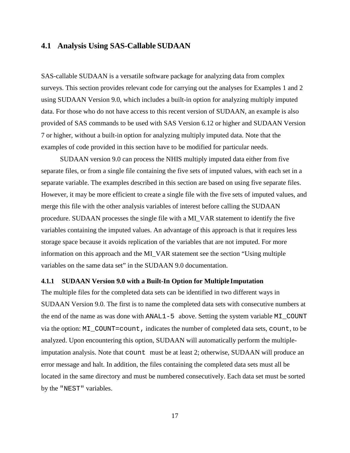#### <span id="page-27-0"></span>**4.1 Analysis Using SAS-Callable SUDAAN**

SAS-callable SUDAAN is a versatile software package for analyzing data from complex surveys. This section provides relevant code for carrying out the analyses for Examples 1 and 2 using SUDAAN Version 9.0, which includes a built-in option for analyzing multiply imputed data. For those who do not have access to this recent version of SUDAAN, an example is also provided of SAS commands to be used with SAS Version 6.12 or higher and SUDAAN Version 7 or higher, without a built-in option for analyzing multiply imputed data. Note that the examples of code provided in this section have to be modified for particular needs.

SUDAAN version 9.0 can process the NHIS multiply imputed data either from five separate files, or from a single file containing the five sets of imputed values, with each set in a separate variable. The examples described in this section are based on using five separate files. However, it may be more efficient to create a single file with the five sets of imputed values, and merge this file with the other analysis variables of interest before calling the SUDAAN procedure. SUDAAN processes the single file with a MI\_VAR statement to identify the five variables containing the imputed values. An advantage of this approach is that it requires less storage space because it avoids replication of the variables that are not imputed. For more information on this approach and the MI\_VAR statement see the section "Using multiple variables on the same data set" in the SUDAAN 9.0 documentation.

#### <span id="page-27-1"></span>**4.1.1 SUDAAN Version 9.0 with a Built-In Option for Multiple Imputation**

The multiple files for the completed data sets can be identified in two different ways in SUDAAN Version 9.0. The first is to name the completed data sets with consecutive numbers at the end of the name as was done with ANAL1-5 above. Setting the system variable MI\_COUNT via the option: MI\_COUNT=count, indicates the number of completed data sets, count, to be analyzed. Upon encountering this option, SUDAAN will automatically perform the multipleimputation analysis. Note that count must be at least 2; otherwise, SUDAAN will produce an error message and halt. In addition, the files containing the completed data sets must all be located in the same directory and must be numbered consecutively. Each data set must be sorted by the "NEST" variables.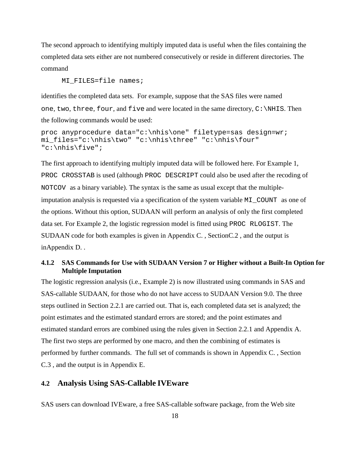The second approach to identifying multiply imputed data is useful when the files containing the completed data sets either are not numbered consecutively or reside in different directories. The command

MI FILES=file names;

identifies the completed data sets. For example, suppose that the SAS files were named one, two, three, four, and five and were located in the same directory,  $C:\N.HIS$ . Then the following commands would be used:

```
proc anyprocedure data="c:\nhis\one" filetype=sas design=wr;
mi_files="c:\nhis\two" "c:\nhis\three" "c:\nhis\four" 
"c:\nhis\five";
```
The first approach to identifying multiply imputed data will be followed here. For Example 1, PROC CROSSTAB is used (although PROC DESCRIPT could also be used after the recoding of NOTCOV as a binary variable). The syntax is the same as usual except that the multipleimputation analysis is requested via a specification of the system variable MI\_COUNT as one of the options. Without this option, SUDAAN will perform an analysis of only the first completed data set. For Example 2, the logistic regression model is fitted using PROC RLOGIST. The SUDAAN code for both examples is given in [Appendix C.](#page-47-0) , Sectio[nC.2](#page-51-0) , and the output is i[nAppendix D.](#page-56-0) .

#### <span id="page-28-0"></span>**4.1.2 SAS Commands for Use with SUDAAN Version 7 or Higher without a Built-In Option for Multiple Imputation**

The logistic regression analysis (i.e., Example 2) is now illustrated using commands in SAS and SAS-callable SUDAAN, for those who do not have access to SUDAAN Version 9.0. The three steps outlined in [Section 2.2.1](#page-14-1) are carried out. That is, each completed data set is analyzed; the point estimates and the estimated standard errors are stored; and the point estimates and estimated standard errors are combined using the rules given in Section [2.2.1](#page-14-1) and [Appendix A.](#page-30-0) The first two steps are performed by one macro, and then the combining of estimates is performed by further commands. The full set of commands is shown in [Appendix C.](#page-47-0) , Section [C.3](#page-52-0) , and the output is in [Appendix E.](#page-68-0)

## <span id="page-28-1"></span>**4.2 Analysis Using SAS-Callable IVEware**

SAS users can download IVEware, a free SAS-callable software package, from the Web site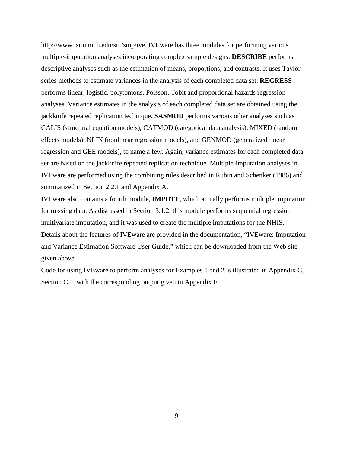[http://www.isr.umich.edu/src/smp/ive.](http://www.isr.umich.edu/src/smp/ive) IVEware has three modules for performing various multiple-imputation analyses incorporating complex sample designs. **DESCRIBE** performs descriptive analyses such as the estimation of means, proportions, and contrasts. It uses Taylor series methods to estimate variances in the analysis of each completed data set. **REGRESS**  performs linear, logistic, polytomous, Poisson, Tobit and proportional hazards regression analyses. Variance estimates in the analysis of each completed data set are obtained using the jackknife repeated replication technique. **SASMOD** performs various other analyses such as CALIS (structural equation models), CATMOD (categorical data analysis), MIXED (random effects models), NLIN (nonlinear regression models), and GENMOD (generalized linear regression and GEE models), to name a few. Again, variance estimates for each completed data set are based on the jackknife repeated replication technique. Multiple-imputation analyses in IVEware are performed using the combining rules described in Rubin and Schenker (1986) and summarized in Section [2.2.1](#page-14-1) and [Appendix A.](#page-30-0)

IVEware also contains a fourth module, **IMPUTE**, which actually performs multiple imputation for missing data. As discussed in [Section 3.1.2,](#page-18-0) this module performs sequential regression multivariate imputation, and it was used to create the multiple imputations for the NHIS. Details about the features of IVEware are provided in the documentation, "IVEware: Imputation and Variance Estimation Software User Guide," which can be downloaded from the Web site given above.

Code for using IVEware to perform analyses for Examples 1 and 2 is illustrated in [Appendix C,](#page-47-0) Section C.4, with the corresponding output given in [Appendix F.](#page-75-0)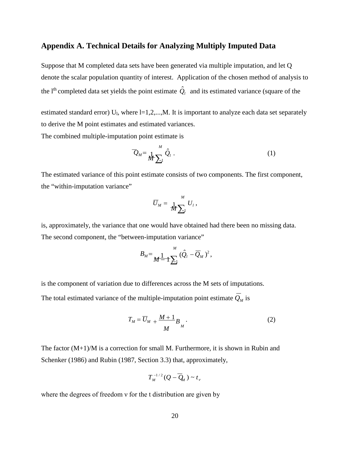## <span id="page-30-0"></span>**Appendix A. Technical Details for Analyzing Multiply Imputed Data**

Suppose that M completed data sets have been generated via multiple imputation, and let Q denote the scalar population quantity of interest. Application of the chosen method of analysis to the l<sup>th</sup> completed data set yields the point estimate  $\hat{Q}_{l}$  and its estimated variance (square of the

estimated standard error)  $U_1$ , where  $l=1,2,...,M$ . It is important to analyze each data set separately to derive the M point estimates and estimated variances.

The combined multiple-imputation point estimate is

$$
\overline{Q}_M = \frac{1}{M} \sum_{j=1}^M \hat{Q}_l \ . \tag{1}
$$

The estimated variance of this point estimate consists of two components. The first component, the "within-imputation variance"

$$
\overline{U}_M = \frac{1}{M \sum_{i=1}^M U_i},
$$

is, approximately, the variance that one would have obtained had there been no missing data. The second component, the "between-imputation variance"

$$
B_{M} = \frac{1}{M-1} \sum_{l=1}^{M} (\hat{Q}_{l} - \overline{Q}_{M})^{2},
$$

is the component of variation due to differences across the M sets of imputations.

The total estimated variance of the multiple-imputation point estimate  $Q_M$  is

$$
T_M = \overline{U}_M + \frac{M+1}{M} B_M \tag{2}
$$

The factor (M+1)/M is a correction for small M. Furthermore, it is shown in Rubin and Schenker (1986) and Rubin (1987, Section 3.3) that, approximately,

$$
T_M^{-1/2}(Q-\overline{Q}_M)\sim t_v
$$

where the degrees of freedom ν for the t distribution are given by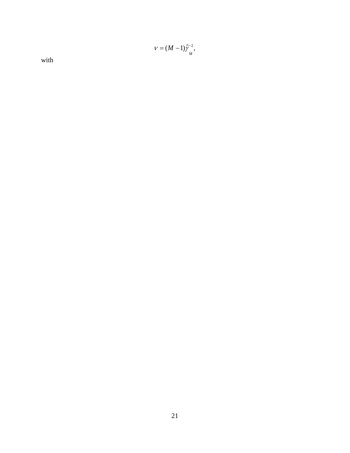$$
v=(M-1)\hat{\gamma}_{_M}^{-2},
$$

with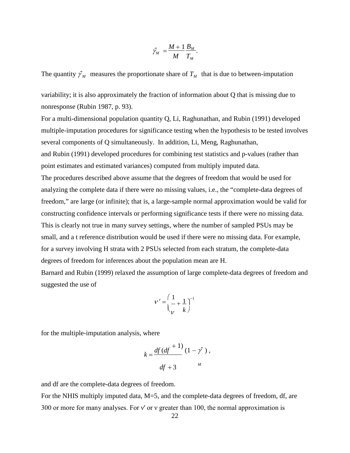$$
\hat{\gamma}_M = \frac{M+1}{M} \frac{B_M}{T_M}.
$$

The quantity  $\hat{\gamma}_M$  measures the proportionate share of  $T_M$  that is due to between-imputation

variability; it is also approximately the fraction of information about Q that is missing due to nonresponse (Rubin 1987, p. 93).

For a multi-dimensional population quantity Q, Li, Raghunathan, and Rubin (1991) developed multiple-imputation procedures for significance testing when the hypothesis to be tested involves several components of Q simultaneously. In addition, Li, Meng, Raghunathan, and Rubin (1991) developed procedures for combining test statistics and p-values (rather than point estimates and estimated variances) computed from multiply imputed data. The procedures described above assume that the degrees of freedom that would be used for analyzing the complete data if there were no missing values, i.e., the "complete-data degrees of freedom," are large (or infinite); that is, a large-sample normal approximation would be valid for constructing confidence intervals or performing significance tests if there were no missing data. This is clearly not true in many survey settings, where the number of sampled PSUs may be small, and a t reference distribution would be used if there were no missing data. For example, for a survey involving H strata with 2 PSUs selected from each stratum, the complete-data degrees of freedom for inferences about the population mean are H.

Barnard and Rubin (1999) relaxed the assumption of large complete-data degrees of freedom and suggested the use of

$$
V' = \left(\frac{1}{V} + \frac{1}{k}\right)^{-1}
$$

for the multiple-imputation analysis, where

$$
k = \frac{df (df^{+1})}{df + 3} (1 - \hat{y}),
$$

and df are the complete-data degrees of freedom.

For the NHIS multiply imputed data, M=5, and the complete-data degrees of freedom, df, are 300 or more for many analyses. For v' or v greater than 100, the normal approximation is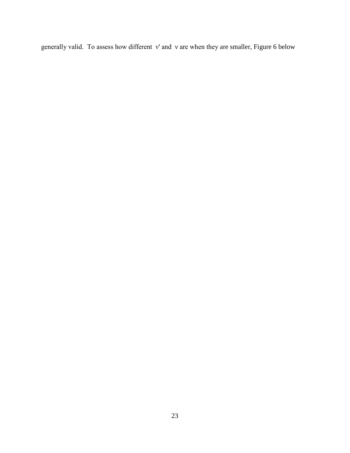generally valid. To assess how different ν' and ν are when they are smaller, [Figure 6](#page-34-0) below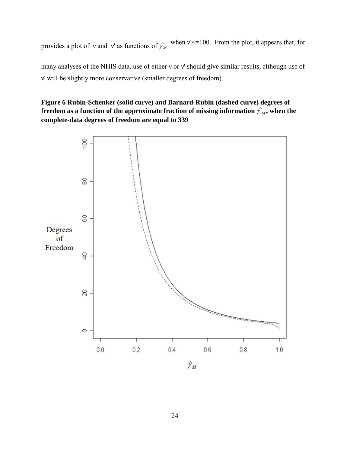provides a plot of v and v' as functions of  $\hat{\gamma}_{M}$  when v'<=100. From the plot, it appears that, for

many analyses of the NHIS data, use of either ν or ν' should give similar results, although use of ν' will be slightly more conservative (smaller degrees of freedom).

### <span id="page-34-0"></span>**Figure 6 Rubin-Schenker (solid curve) and Barnard-Rubin (dashed curve) degrees of**  freedom as a function of the approximate fraction of missing information  $\hat{\gamma_M}$ , when the **complete-data degrees of freedom are equal to 339**

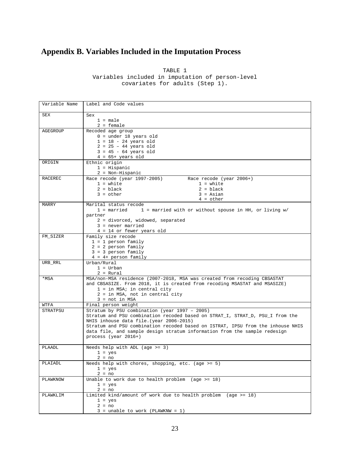## <span id="page-35-0"></span>**Appendix B. Variables Included in the Imputation Process**

TABLE 1 Variables included in imputation of person-level covariates for adults (Step 1).

| Variable Name | Label and Code values                                                           |  |  |
|---------------|---------------------------------------------------------------------------------|--|--|
| SEX           | Sex                                                                             |  |  |
|               | $1 = male$                                                                      |  |  |
|               | $2 =$ female                                                                    |  |  |
| AGEGROUP      | Recoded age group                                                               |  |  |
|               | $0 =$ under 18 years old                                                        |  |  |
|               | $1 = 18 - 24$ years old                                                         |  |  |
|               | $2 = 25 - 44$ years old                                                         |  |  |
|               | $3 = 45 - 64$ years old                                                         |  |  |
|               | $4 = 65+ \text{ years old}$                                                     |  |  |
| ORIGIN        | Ethnic origin                                                                   |  |  |
|               | $1 =$ Hispanic                                                                  |  |  |
|               | $2 = Non-Hispanic$                                                              |  |  |
| RACEREC       | Race recode (year 1997-2005)<br>Race recode (year 2006+)                        |  |  |
|               | $1 = white$<br>$1 = white$                                                      |  |  |
|               | $2 = black$<br>$2 = black$                                                      |  |  |
|               | $3 = other$<br>$3 = Asian$                                                      |  |  |
|               | $4 = other$                                                                     |  |  |
| MARRY         | Marital status recode                                                           |  |  |
|               | 1 = married<br>1 = married with or without spouse in HH, or living w/           |  |  |
|               | partner                                                                         |  |  |
|               | 2 = divorced, widowed, separated                                                |  |  |
|               | 3 = never married                                                               |  |  |
|               | $4 = 14$ or fewer years old                                                     |  |  |
| FM_SIZER      | Family size recode                                                              |  |  |
|               | $1 = 1$ person family                                                           |  |  |
|               | $2 = 2$ person family                                                           |  |  |
|               | $3 = 3$ person family                                                           |  |  |
|               | $4 = 4+ person family$                                                          |  |  |
| URB_RRL       | Urban/Rural                                                                     |  |  |
|               | $1 = Urban$                                                                     |  |  |
|               | $2 = Rural$                                                                     |  |  |
| *MSA          | MSA/non-MSA residence (2007-2018, MSA was created from recoding CBSASTAT        |  |  |
|               | and CBSASIZE. From 2018, it is created from recoding MSASTAT and MSASIZE)       |  |  |
|               | $1 = in MSA$ ; in central city                                                  |  |  |
|               | 2 = in MSA, not in central city<br>$3 = not in MSA$                             |  |  |
| WTFA          | Final person weight                                                             |  |  |
| STRATPSU      | Stratum by PSU combination (year 1997 - 2005)                                   |  |  |
|               | Stratum and PSU combination recoded based on STRAT_I, STRAT_D, PSU_I from the   |  |  |
|               | NHIS inhouse data file. (year 2006-2015)                                        |  |  |
|               | Stratum and PSU combination recoded based on ISTRAT, IPSU from the inhouse NHIS |  |  |
|               | data file, and sample design stratum information from the sample redesign       |  |  |
|               | process (year 2016+)                                                            |  |  |
|               |                                                                                 |  |  |
| PLAADL        | Needs help with $ADL$ (age $>= 3$ )                                             |  |  |
|               | $1 = yes$                                                                       |  |  |
|               | $2 = no$                                                                        |  |  |
| PLAIADL       | Needs help with chores, shopping, etc. (age $>= 5$ )                            |  |  |
|               | $1 = yes$                                                                       |  |  |
|               | $2 = no$                                                                        |  |  |
| PLAWKNOW      | Unable to work due to health problem (age >= 18)                                |  |  |
|               | $1 = yes$                                                                       |  |  |
|               | $2 = no$                                                                        |  |  |
| PLAWKLIM      | Limited kind/amount of work due to health problem (age $>= 18$ )                |  |  |
|               | $1 = yes$                                                                       |  |  |
|               | $2 = no$                                                                        |  |  |
|               | $3 = \text{unable to work}$ (PLAWKNW = 1)                                       |  |  |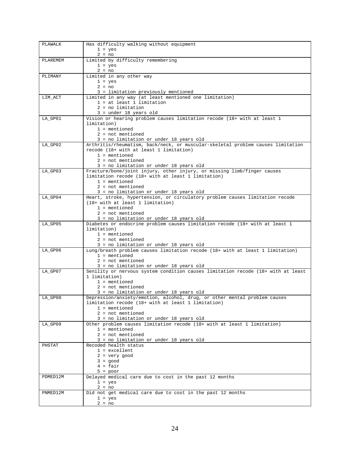| PLAWALK  | Has difficulty walking without equipment                                                                                   |
|----------|----------------------------------------------------------------------------------------------------------------------------|
|          | $1 = yes$                                                                                                                  |
| PLAREMEM | $2 = no$<br>Limited by difficulty remembering                                                                              |
|          | $1 = yes$                                                                                                                  |
|          | $2 = no$                                                                                                                   |
| PLIMANY  | Limited in any other way                                                                                                   |
|          | $1 = yes$<br>$2 = no$                                                                                                      |
|          | 3 = limitation previously mentioned                                                                                        |
| LIM_ACT  | Limited in any way (at least mentioned one limitation)                                                                     |
|          | $1 = at least 1 limitation$                                                                                                |
|          | $2 = no$ limitation                                                                                                        |
| LA_GP01  | $3 = under 18 years old$<br>Vision or hearing problem causes limitation recode (18+ with at least 1                        |
|          | limitation)                                                                                                                |
|          | $1 =$ mentioned                                                                                                            |
|          | $2 = not mentioned$                                                                                                        |
|          | 3 = no limitation or under 18 years old                                                                                    |
| LA_GP02  | Arthritis/rheumatism, back/neck, or muscular-skeletal problem causes limitation<br>recode (18+ with at least 1 limitation) |
|          | $1 =$ mentioned                                                                                                            |
|          | $2 = not mentioned$                                                                                                        |
|          | 3 = no limitation or under 18 years old                                                                                    |
| LA_GP03  | Fracture/bone/joint injury, other injury, or missing limb/finger causes                                                    |
|          | limitation recode (18+ with at least 1 limitation)<br>$1 =$ mentioned                                                      |
|          | $2 = not mentioned$                                                                                                        |
|          | 3 = no limitation or under 18 years old                                                                                    |
| LA_GP04  | Heart, stroke, hypertension, or circulatory problem causes limitation recode                                               |
|          | (18+ with at least 1 limitation)                                                                                           |
|          | $1 =$ mentioned<br>$2 = not mentioned$                                                                                     |
|          | 3 = no limitation or under 18 years old                                                                                    |
| LA_GP05  | Diabetes or endocrine problem causes limitation recode $(18+$ with at least 1                                              |
|          | limitation)                                                                                                                |
|          | $1 =$ mentioned<br>$2 = not mentioned$                                                                                     |
|          | 3 = no limitation or under 18 years old                                                                                    |
| LA_GP06  | Lung/breath problem causes limitation recode (18+ with at least 1 limitation)                                              |
|          | $1 =$ mentioned                                                                                                            |
|          | $2 = not mentioned$<br>3 = no limitation or under 18 years old                                                             |
| LA_GP07  | Senility or nervous system condition causes limitation recode (18+ with at least                                           |
|          | 1 limitation)                                                                                                              |
|          | $1 =$ mentioned                                                                                                            |
|          | $2 = not mentioned$                                                                                                        |
| LA_GP08  | 3 = no limitation or under 18 years old<br>Depression/anxiety/emotion, alcohol, drug, or other mental problem causes       |
|          | limitation recode (18+ with at least 1 limitation)                                                                         |
|          | $1 =$ mentioned                                                                                                            |
|          | $2 = not mentioned$                                                                                                        |
|          | 3 = no limitation or under 18 years old<br>Other problem causes limitation recode (18+ with at least 1 limitation)         |
| LA_GP09  | $1 =$ mentioned                                                                                                            |
|          | $2 = not mentioned$                                                                                                        |
|          | 3 = no limitation or under 18 years old                                                                                    |
| PHSTAT   | Recoded health status                                                                                                      |
|          | $1 = 1$                                                                                                                    |
|          | $2 = very good$<br>$3 = good$                                                                                              |
|          | $4 = fair$                                                                                                                 |
|          | $5 = poor$                                                                                                                 |
| PDMED12M | Delayed medical care due to cost in the past 12 months                                                                     |
|          | $1 = yes$<br>$2 = no$                                                                                                      |
| PNMED12M | Did not get medical care due to cost in the past 12 months                                                                 |
|          | $1 = yes$                                                                                                                  |
|          | $2 = no$                                                                                                                   |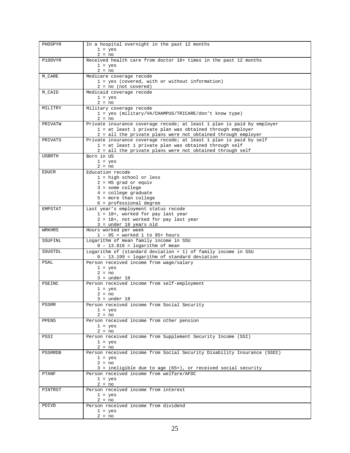| PHOSPYR       | In a hospital overnight in the past 12 months                                                                             |
|---------------|---------------------------------------------------------------------------------------------------------------------------|
|               | $1 = yes$                                                                                                                 |
|               | $2 = no$                                                                                                                  |
| P10DVYR       | Received health care from doctor 10+ times in the past 12 months                                                          |
|               | $1 = yes$                                                                                                                 |
| M_CARE        | $2 = no$                                                                                                                  |
|               | Medicare coverage recode<br>1 = yes (covered, with or without information)                                                |
|               | $2 = no$ (not covered)                                                                                                    |
| M_CAID        | Medicaid coverage recode                                                                                                  |
|               | $1 = yes$                                                                                                                 |
|               | $2 = no$                                                                                                                  |
| MILITRY       | Military coverage recode                                                                                                  |
|               | 1 = yes (military/VA/CHAMPUS/TRICARE/don't know type)                                                                     |
|               | $2 = no$                                                                                                                  |
| PRIVATW       | Private insurance coverage recode; at least 1 plan is paid by employer                                                    |
|               | 1 = at least 1 private plan was obtained through employer<br>2 = all the private plans were not obtained through employer |
| PRIVATS       | Private insurance coverage recode; at least 1 plan is paid by self                                                        |
|               | 1 = at least 1 private plan was obtained through self                                                                     |
|               | 2 = all the private plans were not obtained through self                                                                  |
| <b>USBRTH</b> | Born in US                                                                                                                |
|               | $1 = yes$                                                                                                                 |
|               | $2 = no$                                                                                                                  |
| <b>EDUCR</b>  | Education recode                                                                                                          |
|               | $1 = high school or less$<br>$2 = HS grad or equiv$                                                                       |
|               | $3 =$ some college                                                                                                        |
|               | $4 =$ college graduate                                                                                                    |
|               | $5$ = more than college                                                                                                   |
|               | 6 = professional degree                                                                                                   |
| EMPSTAT       | Last year's employment status recode                                                                                      |
|               | $1 = 18 +$ , worked for pay last year                                                                                     |
|               | 2 = 18+, not worked for pay last year                                                                                     |
| WRKHRS        | $3 = under 18 years old$<br>Hours worked per week                                                                         |
|               | $1 - 95$ = worked 1 to 95+ hours                                                                                          |
| SSUFINL       | Logarithm of mean family income in SSU                                                                                    |
|               | $0 - 13.816 =$ logarithm of mean                                                                                          |
| SSUSTDL       | Logarithm of (standard deviation $+1$ ) of family income in SSU                                                           |
|               | 0 - 13.199 = logarithm of standard deviation                                                                              |
| PSAL          | Person received income from wage/salary                                                                                   |
|               | $1 = yes$<br>$2 = no$                                                                                                     |
|               | $3 = under 18$                                                                                                            |
| PSEINC        | Person received income from self-employment                                                                               |
|               | $1 = yes$                                                                                                                 |
|               | $2 = no$                                                                                                                  |
|               | 3 = under 18                                                                                                              |
| PSSRR         | Person received income from Social Security                                                                               |
|               | $1 = yes$<br>$2 = no$                                                                                                     |
| PPENS         | Person received income from other pension                                                                                 |
|               | $1 = yes$                                                                                                                 |
|               | $2 = no$                                                                                                                  |
| PSSI          | Person received income from Supplement Security Income (SSI)                                                              |
|               | $1 = yes$                                                                                                                 |
|               | $2 = no$                                                                                                                  |
| PSSRRDB       | Person received income from Social Security Disability Insurance (SSDI)                                                   |
|               | $1 = yes$<br>$2 = no$                                                                                                     |
|               | 3 = ineligible due to age (65+), or received social security                                                              |
| PTANF         | Person received income from welfare/AFDC                                                                                  |
|               | $1 = yes$                                                                                                                 |
|               | $2 = no$                                                                                                                  |
| PINTRST       | Person received income from interest                                                                                      |
|               | $1 = yes$                                                                                                                 |
|               | $2 = no$                                                                                                                  |
| PDIVD         | Person received income from dividend<br>$1 = yes$                                                                         |
|               | $2 = no$                                                                                                                  |
|               |                                                                                                                           |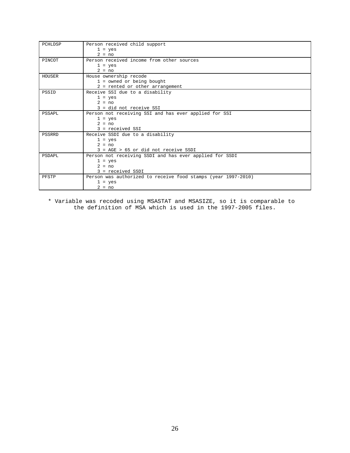| PCHLDSP | Person received child support                                 |
|---------|---------------------------------------------------------------|
|         | $1 = yes$                                                     |
|         | $2 = no$                                                      |
| PINCOT  | Person received income from other sources                     |
|         | $1 = yes$                                                     |
|         | $2 = no$                                                      |
| HOUSER  | House ownership recode                                        |
|         | $1 =$ owned or being bought                                   |
|         | 2 = rented or other arrangement                               |
| PSSID   | Receive SSI due to a disability                               |
|         | $1 = yes$                                                     |
|         | $2 = no$                                                      |
|         | 3 = did not receive SSI                                       |
| PSSAPL  | Person not receiving SSI and has ever applied for SSI         |
|         | $1 = yes$                                                     |
|         | $2 = no$                                                      |
|         | $3 = received SSI$                                            |
| PSSRRD  | Receive SSDI due to a disability                              |
|         | $1 = yes$                                                     |
|         | $2 = no$                                                      |
|         | $3 = AGE > 65$ or did not receive SSDI                        |
| PSDAPL  | Person not receiving SSDI and has ever applied for SSDI       |
|         | $1 = yes$                                                     |
|         | $2 = no$                                                      |
|         | 3 = received SSDI                                             |
| PFSTP   | Person was authorized to receive food stamps (year 1997-2010) |
|         | $1 = yes$                                                     |
|         | $2 = no$                                                      |

\* Variable was recoded using MSASTAT and MSASIZE, so it is comparable to the definition of MSA which is used in the 1997-2005 files.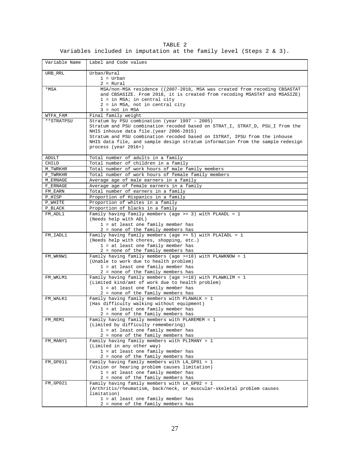|  |                                                                             | TABLE 2 |  |  |  |  |
|--|-----------------------------------------------------------------------------|---------|--|--|--|--|
|  | Variables included in imputation at the family level (Steps $2 \times 3$ ). |         |  |  |  |  |

| Variable Name       | Label and Code values                                                                                                                                                                                                                                                                                             |
|---------------------|-------------------------------------------------------------------------------------------------------------------------------------------------------------------------------------------------------------------------------------------------------------------------------------------------------------------|
| $\texttt{URB\_RRL}$ | Urban/Rural<br>$1 = Urban$                                                                                                                                                                                                                                                                                        |
|                     | $2 = Rural$                                                                                                                                                                                                                                                                                                       |
| *MSA                | MSA/non-MSA residence ((2007-2018, MSA was created from recoding CBSASTAT<br>and CBSASIZE. From 2018, it is created from recoding MSASTAT and MSASIZE)<br>$1 = in MSA$ ; in central city<br>2 = in MSA, not in central city<br>$3 = not in MSA$                                                                   |
| WTFA_FAM            | Final family weight                                                                                                                                                                                                                                                                                               |
| **STRATPSU          | Stratum by PSU combination (year 1997 - 2005)                                                                                                                                                                                                                                                                     |
|                     | Stratum and PSU combination recoded based on STRAT_I, STRAT_D, PSU_I from the<br>NHIS inhouse data file. (year 2006-2015)<br>Stratum and PSU combination recoded based on ISTRAT, IPSU from the inhouse<br>NHIS data file, and sample design stratum information from the sample redesign<br>process (year 2016+) |
| ADULT               | Total number of adults in a family                                                                                                                                                                                                                                                                                |
| CHILD               | Total number of children in a family                                                                                                                                                                                                                                                                              |
| M_TWRKHR            | Total number of work hours of male family members                                                                                                                                                                                                                                                                 |
| F TWRKHR            | Total number of work hours of female family members                                                                                                                                                                                                                                                               |
| M ERNAGE            | Average age of male earners in a family                                                                                                                                                                                                                                                                           |
| F ERNAGE            | Average age of female earners in a family                                                                                                                                                                                                                                                                         |
| FM EARN             | Total number of earners in a family                                                                                                                                                                                                                                                                               |
| P HISP              | Proportion of Hispanics in a family                                                                                                                                                                                                                                                                               |
| P WHITE             | Proportion of whites in a family                                                                                                                                                                                                                                                                                  |
| P BLACK             | Proportion of blacks in a family                                                                                                                                                                                                                                                                                  |
| FM_ADL1             | Family having family members (age >= 3) with PLAADL = $1$                                                                                                                                                                                                                                                         |
|                     | (Needs help with ADL)<br>1 = at least one family member has                                                                                                                                                                                                                                                       |
|                     | 2 = none of the family members has                                                                                                                                                                                                                                                                                |
| FM_IADL1            | Family having family members (age $>= 5$ ) with PLAIADL = 1<br>(Needs help with chores, shopping, etc.)<br>1 = at least one family member has<br>2 = none of the family members has                                                                                                                               |
| FM_WKNW1            | Family having family members (age $> = 18$ ) with PLAWKNOW = 1                                                                                                                                                                                                                                                    |
|                     | (Unable to work due to health problem)<br>1 = at least one family member has<br>2 = none of the family members has                                                                                                                                                                                                |
| FM_WKLM1            | Family having family members (age $>=18$ ) with PLAWKLIM = 1                                                                                                                                                                                                                                                      |
|                     | (Limited kind/amt of work due to health problem)                                                                                                                                                                                                                                                                  |
|                     | 1 = at least one family member has<br>2 = none of the family members has                                                                                                                                                                                                                                          |
| FM_WALK1            | Family having family members with PLAWALK = 1                                                                                                                                                                                                                                                                     |
|                     | (Has difficulty walking without equipment)                                                                                                                                                                                                                                                                        |
|                     | 1 = at least one family member has                                                                                                                                                                                                                                                                                |
|                     | 2 = none of the family members has                                                                                                                                                                                                                                                                                |
| FM_REM1             | Family having family members with PLAREMEM = 1                                                                                                                                                                                                                                                                    |
|                     | (Limited by difficulty remembering)                                                                                                                                                                                                                                                                               |
|                     | 1 = at least one family member has                                                                                                                                                                                                                                                                                |
|                     | 2 = none of the family members has                                                                                                                                                                                                                                                                                |
| FM_MANY1            | Family having family members with PLIMANY = 1                                                                                                                                                                                                                                                                     |
|                     | (Limited in any other way)                                                                                                                                                                                                                                                                                        |
|                     | 1 = at least one family member has<br>2 = none of the family members has                                                                                                                                                                                                                                          |
| FM_GP011            | Family having family members with LA_GP01 = 1                                                                                                                                                                                                                                                                     |
|                     | (Vision or hearing problem causes limitation)                                                                                                                                                                                                                                                                     |
|                     | 1 = at least one family member has                                                                                                                                                                                                                                                                                |
|                     | 2 = none of the family members has                                                                                                                                                                                                                                                                                |
| FM_GP021            | Family having family members with LA_GP02 = 1<br>(Arthritis/rheumatism, back/neck, or muscular-skeletal problem causes<br>limitation)                                                                                                                                                                             |
|                     | 1 = at least one family member has                                                                                                                                                                                                                                                                                |
|                     | 2 = none of the family members has                                                                                                                                                                                                                                                                                |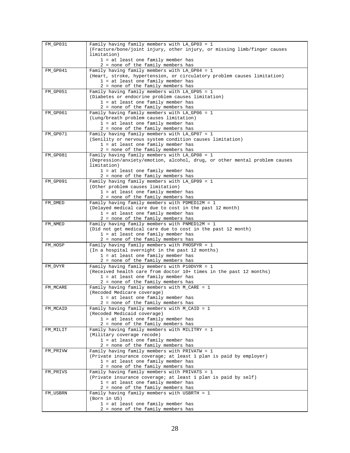| FM_GP031 | Family having family members with LA_GP03 = 1                                         |
|----------|---------------------------------------------------------------------------------------|
|          | (Fracture/bone/joint injury, other injury, or missing limb/finger causes              |
|          | limitation)                                                                           |
|          | 1 = at least one family member has                                                    |
|          | 2 = none of the family members has                                                    |
| FM GP041 | Family having family members with $LA_GPO4 = 1$                                       |
|          | (Heart, stroke, hypertension, or circulatory problem causes limitation)               |
|          | 1 = at least one family member has                                                    |
|          | 2 = none of the family members has                                                    |
| FM_GP051 | Family having family members with LA_GP05 = 1                                         |
|          | (Diabetes or endocrine problem causes limitation)                                     |
|          | 1 = at least one family member has                                                    |
|          | 2 = none of the family members has                                                    |
| FM_GP061 | Family having family members with $LA_GPO6 = 1$                                       |
|          | (Lung/breath problem causes limitation)                                               |
|          | 1 = at least one family member has                                                    |
|          | 2 = none of the family members has                                                    |
| FM_GP071 | Family having family members with LA_GP07 = 1                                         |
|          | (Senility or nervous system condition causes limitation)                              |
|          | 1 = at least one family member has                                                    |
|          | 2 = none of the family members has                                                    |
| FM_GP081 | Family having family members with LA_GP08 = 1                                         |
|          | (Depression/anxiety/emotion, alcohol, drug, or other mental problem causes            |
|          | limitation)                                                                           |
|          | 1 = at least one family member has                                                    |
|          | 2 = none of the family members has                                                    |
| FM_GP091 | Family having family members with LA_GP09 = 1                                         |
|          | (Other problem causes limitation)<br>1 = at least one family member has               |
|          | 2 = none of the family members has                                                    |
| FM_DMED  | Family having family members with PDMED12M = 1                                        |
|          | (Delayed medical care due to cost in the past 12 month)                               |
|          | 1 = at least one family member has                                                    |
|          | 2 = none of the family members has                                                    |
| FM_NMED  | Family having family members with PNMED12M = 1                                        |
|          | (Did not get medical care due to cost in the past 12 month)                           |
|          | 1 = at least one family member has                                                    |
|          | 2 = none of the family members has                                                    |
| FM_HOSP  | Family having family members with PHOSPYR = $1$                                       |
|          | (In a hospital overnight in the past 12 months)<br>1 = at least one family member has |
|          | 2 = none of the family members has                                                    |
| FM DVYR  | Family having family members with P10DVYR = $1$                                       |
|          | (Received health care from doctor 10+ times in the past 12 months)                    |
|          | 1 = at least one family member has                                                    |
|          | 2 = none of the family members has                                                    |
| FM_MCARE | Family having family members with $M_{\text{CARE}} = 1$                               |
|          | (Recoded Medicare coverage)                                                           |
|          | 1 = at least one family member has                                                    |
|          | 2 = none of the family members has                                                    |
| FM_MCAID | Family having family members with M CAID = 1                                          |
|          | (Recoded Medicaid coverage)                                                           |
|          | 1 = at least one family member has<br>2 = none of the family members has              |
| FM_MILIT | Family having family members with MILITRY = 1                                         |
|          | (Military coverage recode)                                                            |
|          | 1 = at least one family member has                                                    |
|          | 2 = none of the family members has                                                    |
| FM_PRIVW | Family having family members with PRIVATW = 1                                         |
|          | (Private insurance coverage; at least 1 plan is paid by employer)                     |
|          | 1 = at least one family member has                                                    |
|          | 2 = none of the family members has                                                    |
| FM_PRIVS | Family having family members with PRIVATS = 1                                         |
|          | (Private insurance coverage; at least 1 plan is paid by self)                         |
|          | 1 = at least one family member has                                                    |
|          | 2 = none of the family members has                                                    |
| FM_USBRN | Family having family members with USBRTH = 1<br>(Born in US)                          |
|          | 1 = at least one family member has                                                    |
|          | 2 = none of the family members has                                                    |
|          |                                                                                       |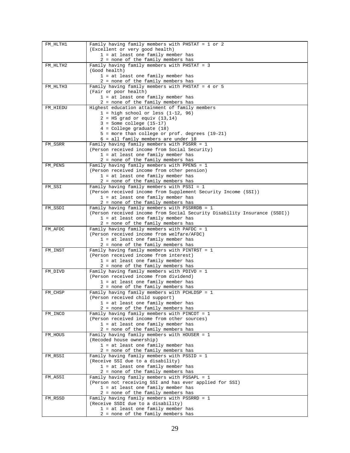| FM HLTH1 | Family having family members with PHSTAT = 1 or 2                         |
|----------|---------------------------------------------------------------------------|
|          | (Excellent or very good health)                                           |
|          |                                                                           |
|          | 1 = at least one family member has                                        |
|          | 2 = none of the family members has                                        |
| FM_HLTH2 | Family having family members with PHSTAT = 3                              |
|          | (Good health)                                                             |
|          | 1 = at least one family member has                                        |
|          | 2 = none of the family members has                                        |
| FM_HLTH3 | Family having family members with PHSTAT = 4 or 5                         |
|          | (Fair or poor health)                                                     |
|          | 1 = at least one family member has                                        |
|          |                                                                           |
|          | 2 = none of the family members has                                        |
| FM_HIEDU | Highest education attainment of family members                            |
|          | $1 = high school or less (1-12, 96)$                                      |
|          | $2 = HS grad or equiv (13,14)$                                            |
|          | $3 = Some college (15-17)$                                                |
|          | $4 =$ College graduate (18)                                               |
|          | 5 = more than college or prof. degrees (19-21)                            |
|          | 6 = all family members are under 18                                       |
| FM_SSRR  | Family having family members with PSSRR = 1                               |
|          | (Person received income from Social Security)                             |
|          | 1 = at least one family member has                                        |
|          | 2 = none of the family members has                                        |
| FM_PENS  | Family having family members with PPENS = 1                               |
|          | (Person received income from other pension)                               |
|          | 1 = at least one family member has                                        |
|          | 2 = none of the family members has                                        |
| FM_SSI   | Family having family members with PSSI = 1                                |
|          |                                                                           |
|          | (Person received income from Supplement Security Income (SSI))            |
|          | 1 = at least one family member has                                        |
|          | 2 = none of the family members has                                        |
| FM_SSDI  | Family having family members with PSSRRDB = 1                             |
|          | (Person received income from Social Security Disability Insurance (SSDI)) |
|          | 1 = at least one family member has                                        |
|          | 2 = none of the family members has                                        |
| FM_AFDC  | Family having family members with PAFDC = 1                               |
|          | (Person received income from welfare/AFDC)                                |
|          | 1 = at least one family member has                                        |
|          | 2 = none of the family members has                                        |
| FM_INST  | Family having family members with PINTRST = $1$                           |
|          | (Person received income from interest)                                    |
|          | 1 = at least one family member has                                        |
|          | 2 = none of the family members has                                        |
| FM_DIVD  | Family having family members with PDIVD = 1                               |
|          | (Person received income from dividend)                                    |
|          | 1 = at least one family member has                                        |
|          | 2 = none of the family members has                                        |
| FM_CHSP  | Family having family members with PCHLDSP = 1                             |
|          | (Person received child support)                                           |
|          | 1 = at least one family member has                                        |
|          | 2 = none of the family members has                                        |
| FM_INCO  | Family having family members with PINCOT = 1                              |
|          |                                                                           |
|          | (Person received income from other sources)                               |
|          | 1 = at least one family member has                                        |
|          | 2 = none of the family members has                                        |
| FM_HOUS  | Family having family members with HOUSER = 1                              |
|          | (Recoded house ownership)                                                 |
|          | 1 = at least one family member has                                        |
|          | 2 = none of the family members has                                        |
| FM_RSSI  | Family having family members with PSSID = 1                               |
|          | (Receive SSI due to a disability)                                         |
|          | 1 = at least one family member has                                        |
|          | 2 = none of the family members has                                        |
| FM_ASSI  | Family having family members with PSSAPL = 1                              |
|          | (Person not receiving SSI and has ever applied for SSI)                   |
|          | 1 = at least one family member has                                        |
|          | 2 = none of the family members has                                        |
| FM_RSSD  | Family having family members with PSSRRD = 1                              |
|          | (Receive SSDI due to a disability)                                        |
|          | 1 = at least one family member has                                        |
|          | 2 = none of the family members has                                        |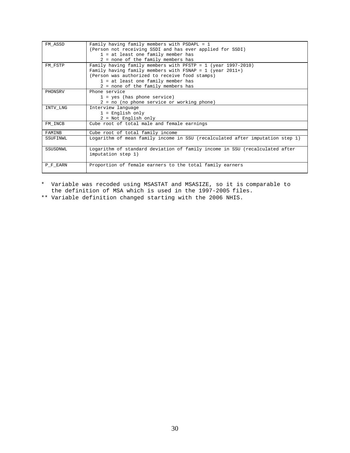| FM ASSD  | Family having family members with $PSDAPL = 1$                                |
|----------|-------------------------------------------------------------------------------|
|          | (Person not receiving SSDI and has ever applied for SSDI)                     |
|          | $1 = at$ least one family member has                                          |
|          | 2 = none of the family members has                                            |
| FM FSTP  | Family having family members with PFSTP = $1$ (year 1997-2010)                |
|          | Family having family members with FSNAP = $1$ (year 2011+)                    |
|          | (Person was authorized to receive food stamps)                                |
|          | $1 = at$ least one family member has                                          |
|          | 2 = none of the family members has                                            |
| PHONSRV  | Phone service                                                                 |
|          | $1 = yes$ (has phone service)                                                 |
|          | 2 = no (no phone service or working phone)                                    |
| INTV_LNG | Interview language                                                            |
|          | $1$ = English only                                                            |
|          | 2 = Not English only                                                          |
| FM INCB  | Cube root of total male and female earnings                                   |
|          |                                                                               |
| FAMINR   | Cube root of total family income                                              |
| SSUFINWL | Logarithm of mean family income in SSU (recalculated after imputation step 1) |
|          |                                                                               |
| SSUSDNWL | Logarithm of standard deviation of family income in SSU (recalculated after   |
|          | imputation step 1)                                                            |
|          |                                                                               |
| P_F_EARN | Proportion of female earners to the total family earners                      |
|          |                                                                               |

\* Variable was recoded using MSASTAT and MSASIZE, so it is comparable to the definition of MSA which is used in the 1997-2005 files.

\*\* Variable definition changed starting with the 2006 NHIS.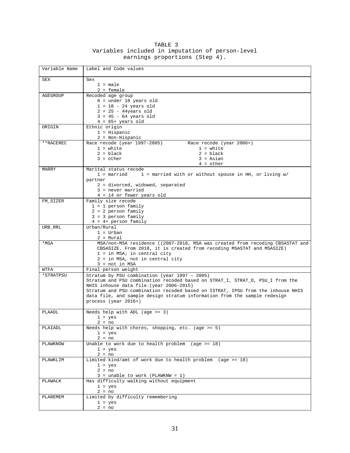|                                | TABLE 3 |  |                                                  |
|--------------------------------|---------|--|--------------------------------------------------|
|                                |         |  | Variables included in imputation of person-level |
| earnings proportions (Step 4). |         |  |                                                  |

| Variable Name | Label and Code values                                                                             |
|---------------|---------------------------------------------------------------------------------------------------|
| SEX           | Sex                                                                                               |
|               | $1 = male$                                                                                        |
|               | $2 =$ female                                                                                      |
| AGEGROUP      | Recoded age group                                                                                 |
|               | $0 =$ under 18 years old                                                                          |
|               | $1 = 18 - 24$ years old                                                                           |
|               | $2 = 25 - 44$ years old<br>$3 = 45 - 64$ years old                                                |
|               | $4 = 65+ \text{ years old}$                                                                       |
| ORIGIN        | Ethnic origin                                                                                     |
|               | $1 = Hispanic$                                                                                    |
|               | $2 = Non-Hispanic$                                                                                |
| **RACEREC     | Race recode (year 1997-2005)<br>Race recode (year 2006+)                                          |
|               | $1 = white$<br>$1 = white$                                                                        |
|               | $2 = black$<br>$2 = black$                                                                        |
|               | $3 = other$<br>$3 = Asian$                                                                        |
| MARRY         | $4 = other$<br>Marital status recode                                                              |
|               | 1 = married<br>$1$ = married with or without spouse in HH, or living w/                           |
|               | partner                                                                                           |
|               | 2 = divorced, widowed, separated                                                                  |
|               | $3 = never married$                                                                               |
|               | 4 = 14 or fewer years old                                                                         |
| FM_SIZER      | Family size recode                                                                                |
|               | $1 = 1$ person family                                                                             |
|               | $2 = 2$ person family<br>$3 = 3$ person family                                                    |
|               | $4 = 4 + person family$                                                                           |
| URB_RRL       | Urban/Rural                                                                                       |
|               | $1 = Urban$                                                                                       |
|               | $2 = Rural$                                                                                       |
| *MSA          | MSA/non-MSA residence ((2007-2018, MSA was created from recoding CBSASTAT and                     |
|               | CBSASIZE. From 2018, it is created from recoding MSASTAT and MSASIZE)                             |
|               | $1 = in MSA$ ; in central city<br>2 = in MSA, not in central city                                 |
|               | $3 = not in MSA$                                                                                  |
| WTFA          | Final person weight                                                                               |
| *STRATPSU     | Stratum by PSU combination (year 1997 - 2005)                                                     |
|               | Stratum and PSU combination recoded based on STRAT_I, STRAT_D, PSU_I from the                     |
|               | NHIS inhouse data file. (year 2006-2015)                                                          |
|               | Stratum and PSU combination recoded based on ISTRAT, IPSU from the inhouse NHIS                   |
|               | data file, and sample design stratum information from the sample redesign<br>process (year 2016+) |
|               |                                                                                                   |
| PLAADL        | Needs help with ADL (age $>= 3$ )                                                                 |
|               | $1 = yes$                                                                                         |
|               | $2 = no$                                                                                          |
| PLAIADL       | Needs help with chores, shopping, etc. (age $>= 5$ )                                              |
|               | $1 = yes$<br>$2 = no$                                                                             |
| PLAWKNOW      | Unable to work due to health problem (age $>= 18$ )                                               |
|               | $1 = yes$                                                                                         |
|               | $2 = no$                                                                                          |
| PLAWKLIM      | Limited kind/amt of work due to health problem (age $>= 18$ )                                     |
|               | $1 = yes$                                                                                         |
|               | $2 = no$                                                                                          |
| PLAWALK       | $3 = \text{unable to work}$ (PLAWKNW = 1)<br>Has difficulty walking without equipment             |
|               | $1 = yes$                                                                                         |
|               | $2 = no$                                                                                          |
| PLAREMEM      | Limited by difficulty remembering                                                                 |
|               | $1 = yes$                                                                                         |
|               | $2 = no$                                                                                          |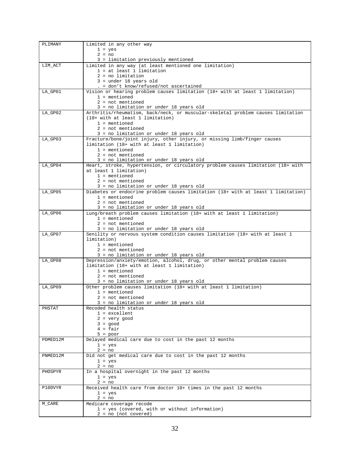| PLIMANY  | Limited in any other way                                                                                                    |
|----------|-----------------------------------------------------------------------------------------------------------------------------|
|          | $1 = yes$                                                                                                                   |
|          | $2 = no$                                                                                                                    |
|          | 3 = limitation previously mentioned                                                                                         |
| LIM_ACT  | Limited in any way (at least mentioned one limitation)<br>$1 = at least 1 limitation$                                       |
|          | $2 = no$ limitation                                                                                                         |
|          | $3 = under 18 years old$                                                                                                    |
|          | $. = don't know/refused/not ascertained$                                                                                    |
| LA_GP01  | Vision or hearing problem causes limitation (18+ with at least 1 limitation)                                                |
|          | $1 =$ mentioned                                                                                                             |
|          | $2 = not mentioned$<br>3 = no limitation or under 18 years old                                                              |
| LA_GP02  | Arthritis/rheumatism, back/neck, or muscular-skeletal problem causes limitation                                             |
|          | (18+ with at least 1 limitation)                                                                                            |
|          | $1 = \text{mentioned}$                                                                                                      |
|          | $2 = not mentioned$                                                                                                         |
|          | 3 = no limitation or under 18 years old                                                                                     |
| LA_GP03  | Fracture/bone/joint injury, other injury, or missing limb/finger causes                                                     |
|          | limitation (18+ with at least 1 limitation)<br>$1 =$ mentioned                                                              |
|          | $2 = not mentioned$                                                                                                         |
|          | 3 = no limitation or under 18 years old                                                                                     |
| LA_GP04  | Heart, stroke, hypertension, or circulatory problem causes limitation (18+ with                                             |
|          | at least 1 limitation)                                                                                                      |
|          | $1 =$ mentioned                                                                                                             |
|          | $2 = not mentioned$                                                                                                         |
| LA_GP05  | 3 = no limitation or under 18 years old<br>Diabetes or endocrine problem causes limitation (18+ with at least 1 limitation) |
|          | $1 =$ mentioned                                                                                                             |
|          | $2 = not mentioned$                                                                                                         |
|          | 3 = no limitation or under 18 years old                                                                                     |
| LA_GP06  | Lung/breath problem causes limitation (18+ with at least 1 limitation)                                                      |
|          | $1 =$ mentioned                                                                                                             |
|          | $2 = not mentioned$<br>3 = no limitation or under 18 years old                                                              |
| LA_GP07  | Senility or nervous system condition causes limitation (18+ with at least 1                                                 |
|          | limitation)                                                                                                                 |
|          | $1 =$ mentioned                                                                                                             |
|          | $2 = not mentioned$                                                                                                         |
|          | 3 = no limitation or under 18 years old                                                                                     |
| LA_GP08  | Depression/anxiety/emotion, alcohol, drug, or other mental problem causes<br>limitation (18+ with at least 1 limitation)    |
|          | $1 =$ mentioned                                                                                                             |
|          | $2 = not mentioned$                                                                                                         |
|          | 3 = no limitation or under 18 years old                                                                                     |
| LA_GP09  |                                                                                                                             |
|          | Other problem causes limitation (18+ with at least 1 limitation)                                                            |
|          | $1 =$ mentioned                                                                                                             |
|          | $2 = \text{not mentioned}$                                                                                                  |
|          | 3 = no limitation or under 18 years old                                                                                     |
| PHSTAT   | Recoded health status                                                                                                       |
|          | $1 = $ excellent                                                                                                            |
|          | $2 = very good$<br>$3 = good$                                                                                               |
|          | $4 = fair$                                                                                                                  |
|          | $5 = poor$                                                                                                                  |
| PDMED12M | Delayed medical care due to cost in the past 12 months                                                                      |
|          | $1 = yes$                                                                                                                   |
| PNMED12M | $2 = no$                                                                                                                    |
|          | Did not get medical care due to cost in the past 12 months<br>$1 = yes$                                                     |
|          | $2 = no$                                                                                                                    |
| PHOSPYR  | In a hospital overnight in the past 12 months                                                                               |
|          | $1 = yes$                                                                                                                   |
|          | $2 = no$                                                                                                                    |
| P10DVYR  | Received health care from doctor 10+ times in the past 12 months                                                            |
|          | $1 = yes$<br>$2 = no$                                                                                                       |
| M_CARE   | Medicare coverage recode                                                                                                    |
|          | 1 = yes (covered, with or without information)                                                                              |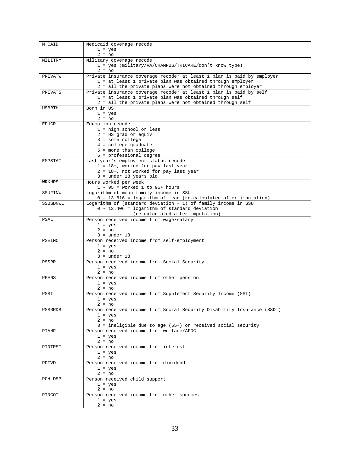| M_CAID       | Medicaid coverage recode                                                                                |
|--------------|---------------------------------------------------------------------------------------------------------|
|              | $1 = yes$                                                                                               |
|              | $2 = no$                                                                                                |
| MILITRY      | Military coverage recode                                                                                |
|              | 1 = yes (military/VA/CHAMPUS/TRICARE/don't know type)                                                   |
|              | $2 = no$                                                                                                |
| PRIVATW      | Private insurance coverage recode; at least 1 plan is paid by employer                                  |
|              | 1 = at least 1 private plan was obtained through employer                                               |
|              | 2 = all the private plans were not obtained through employer                                            |
| PRIVATS      | Private insurance coverage recode; at least 1 plan is paid by self                                      |
|              | 1 = at least 1 private plan was obtained through self                                                   |
|              | 2 = all the private plans were not obtained through self                                                |
| USBRTH       | Born in US                                                                                              |
|              | $1 = yes$                                                                                               |
|              | $2 = no$                                                                                                |
| <b>EDUCR</b> | Education recode                                                                                        |
|              | $1 = high school or less$                                                                               |
|              | $2 = HS$ grad or equiv                                                                                  |
|              | $3 =$ some college                                                                                      |
|              | $4 =$ college graduate                                                                                  |
|              | $5$ = more than college                                                                                 |
|              | $6$ = professional degree                                                                               |
| EMPSTAT      | Last year's employment status recode                                                                    |
|              | $1 = 18 +$ , worked for pay last year                                                                   |
|              | 2 = 18+, not worked for pay last year                                                                   |
|              | $3 = under 18 years old$                                                                                |
| WRKHRS       | Hours worked per week                                                                                   |
|              | $1 - 95$ = worked 1 to 95+ hours                                                                        |
| SSUFINWL     | Logarithm of mean family income in SSU                                                                  |
|              | $0 - 13.816 =$ logarithm of mean (re-calculated after imputation)                                       |
| SSUSDNWL     | Logarithm of (standard deviation $+1$ ) of family income in SSU                                         |
|              | $0 - 13.406 =$ logarithm of standard deviation                                                          |
|              | (re-calculated after imputation)                                                                        |
| PSAL         | Person received income from wage/salary                                                                 |
|              | $1 = yes$<br>$2 = no$                                                                                   |
|              | $3 = under 18$                                                                                          |
| PSEINC       | Person received income from self-employment                                                             |
|              | $1 = yes$                                                                                               |
|              | $2 = no$                                                                                                |
|              | $3 = under 18$                                                                                          |
| PSSRR        | Person received income from Social Security                                                             |
|              | $1 = yes$                                                                                               |
|              | $2 = no$                                                                                                |
| PPENS        | Person received income from other pension                                                               |
|              | $1 = yes$                                                                                               |
|              | $2 = no$                                                                                                |
| PSSI         | Person received income from Supplement Security Income (SSI)                                            |
|              | $1 = yes$                                                                                               |
|              | $2 = no$                                                                                                |
| PSSRRDB      | Person received income from Social Security Disability Insurance (SSDI)                                 |
|              | $1 = yes$                                                                                               |
|              | $2 = no$                                                                                                |
|              | 3 = ineligible due to age (65+) or received social security<br>Person received income from welfare/AFDC |
| <b>PTANF</b> |                                                                                                         |
|              | $1 = yes$                                                                                               |
| PINTRST      | $2 = no$<br>Person received income from interest                                                        |
|              | $1 = yes$                                                                                               |
|              | $2 = no$                                                                                                |
| PDIVD        | Person received income from dividend                                                                    |
|              | $1 = yes$                                                                                               |
|              | $2 = no$                                                                                                |
| PCHLDSP      | Person received child support                                                                           |
|              | $1 = yes$                                                                                               |
|              | $2 = no$                                                                                                |
| PINCOT       | Person received income from other sources                                                               |
|              | $1 = yes$                                                                                               |
|              | $2 = no$                                                                                                |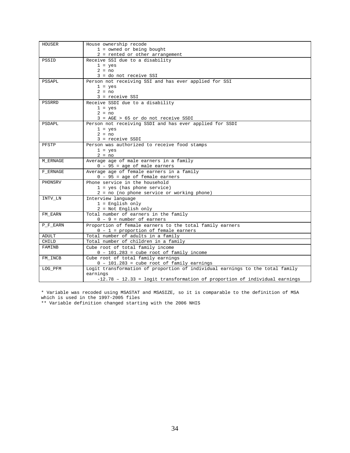| HOUSER   | House ownership recode                                                        |
|----------|-------------------------------------------------------------------------------|
|          | $1 =$ owned or being bought                                                   |
|          | 2 = rented or other arrangement                                               |
| PSSID    | Receive SSI due to a disability                                               |
|          | $1 = yes$                                                                     |
|          | $2 = no$                                                                      |
|          | 3 = do not receive SSI                                                        |
| PSSAPL   | Person not receiving SSI and has ever applied for SSI                         |
|          | $1 = yes$                                                                     |
|          | $2 = no$                                                                      |
|          | $3 =$ receive SSI                                                             |
| PSSRRD   | Receive SSDI due to a disability                                              |
|          | $1 = yes$                                                                     |
|          | $2 = no$                                                                      |
|          | $3 = AGE > 65$ or do not receive SSDI                                         |
| PSDAPL   | Person not receiving SSDI and has ever applied for SSDI                       |
|          | $1 = yes$                                                                     |
|          | $2 = no$                                                                      |
|          | $3 = receive SSDI$                                                            |
| PFSTP    | Person was authorized to receive food stamps                                  |
|          | $1 = yes$                                                                     |
|          | $2 = no$                                                                      |
| M_ERNAGE | Average age of male earners in a family<br>$0 - 95 = age of male carriers$    |
| F ERNAGE | Average age of female earners in a family                                     |
|          | $0 - 95 = aqe of female earnings$                                             |
| PHONSRV  | Phone service in the household                                                |
|          | $1 = yes$ (has phone service)                                                 |
|          | 2 = no (no phone service or working phone)                                    |
| INTV_LN  | Interview language                                                            |
|          | $1$ = English only                                                            |
|          | 2 = Not English only                                                          |
| FM_EARN  | Total number of earners in the family                                         |
|          | $0 - 9$ = number of earners                                                   |
| P_F_EARN | Proportion of female earners to the total family earners                      |
|          | $0 - 1$ = proportion of female earners                                        |
| ADULT    | Total number of adults in a family                                            |
| CHILD    | Total number of children in a family                                          |
| FAMINB   | Cube root of total family income                                              |
|          | $0 - 101.283$ = cube root of family income                                    |
| FM INCB  | Cube root of total family earnings                                            |
|          | $0 - 101.283 = cube root of family earnings$                                  |
| LOG_PFM  | Logit transformation of proportion of individual earnings to the total family |
|          | earnings                                                                      |
|          | $-12.78 - 12.33 =$ logit transformation of proportion of individual earnings  |

\* Variable was recoded using MSASTAT and MSASIZE, so it is comparable to the definition of MSA which is used in the 1997-2005 files

\*\* Variable definition changed starting with the 2006 NHIS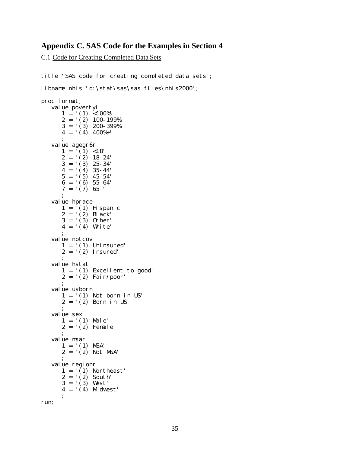## **Appendix C. SAS Code for the Examples in Section 4**

C.1 Code for Creating Completed Data Sets

title 'SAS code for creating completed data sets'; libname nhis 'd:\stat\sas\sas files\nhis2000'; proc format; value povertyi  $1 = ' (1) < 100\%'$  $2 = ' (2) 100 - 199\%'$  $3 = \binom{12}{3}$  200-399%  $4 = \binom{1}{4} \cdot 400\% + \binom{1}{4}$ ; value agegr6r  $1 = ' (1) < 18'$  $2 = ' (2) 18 - 24'$  $3 = '$  (3) 25-34'  $4 = ' (4) 35 - 44'$  $5 = '(5)$  45-54'  $6 = ' (6) 55-64'$  $7 = '7'$  65+' ; value hprace  $1 = ' (1)$  Hispanic' 2 = '(2) Black' 3 = '(3) Other' 4 = '(4) White' ; value notcov  $1 = ' (1)$  Uninsured'  $2 = ' (2)$  Insured' ; value hstat 1 = '(1) Excellent to good' 2 = '(2) Fair/poor' ; value usborn  $1 = '(1)$  Not born in US' 2 = '(2) Born in US' ; value sex  $1 = ' (1)$  Male'  $2 = ' (2)$  Female' ; value msar  $1 = ' (1)$  MSA'  $2 = \hat{2}$  Not MSA' ; value regionr  $1 = '(1)$  Northeast' 2 = '(2) South' 3 = '(3) West'  $4 = '(4)$  Midwest' ; run;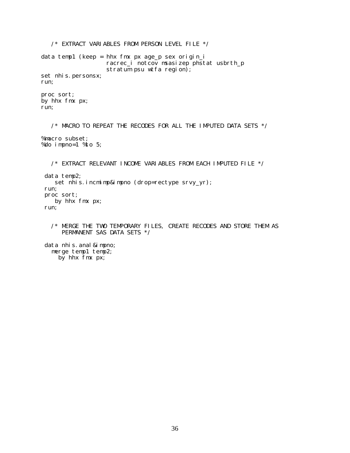/\* EXTRACT VARIABLES FROM PERSON LEVEL FILE \*/ data temp1 (keep = hhx fmx px age\_p sex origin\_i racrec\_i notcov msasizep phstat usbrth\_p stratum psu wtfa region); set nhis.personsx; run; proc sort; by hhx fmx px; run;  $\gamma^*$  MACRO TO REPEAT THE RECODES FOR ALL THE IMPUTED DATA SETS  $\gamma$ %macro subset; %do impno=1 %to 5;  $\frac{1}{4}$  EXTRACT RELEVANT INCOME VARIABLES FROM EACH IMPUTED FILE  $\frac{*}{2}$ data temp2; set nhis.incmimp&impno (drop=rectype srvy\_yr); run; proc sort; by hhx fmx px; run; /\* MERGE THE TWO TEMPORARY FILES, CREATE RECODES AND STORE THEM AS PERMANENT SAS DATA SETS \*/ data nhis. anal & impno; merge temp1 temp2;

by hhx fmx px;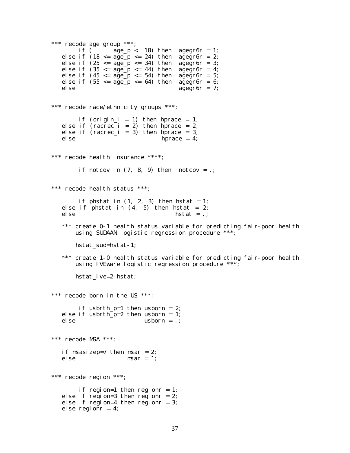```
*** recode age group ***;<br>if ( age_p <
                   age_p < 18) then agegr6r = 1;
   else if (18 \leq age_p \leq 24) then agegr6r = 2;
   else if (25 <= age_p <= 34) then agegr6r = 3; 
   else if (35 \leq age_p \leq 44) then agegr6r = 4;else if (45 \leq age_p \leq 54) then agegr6r = 5;
   else if (55 \leq \text{age\_p} \leq 64) then \text{age\_g} \cdot \text{r} = 6;<br>else \text{age\_g} \cdot \text{r} = 7:
                                       agegr6r = 7;*** recode race/ethnicity groups ***;
        if (origin_i = 1) then hprace = 1;
   else if rac{1}{2} (racrec_i = 2) then hprace = 2;
   else if (racrec_i = 3) then hprace = 3; 
   else hprace = 4; 
*** recode health insurance ****; 
        if notcov in (7, 8, 9) then notcov = .;
*** recode health status ***; 
        if phstat in (1, 2, 3) then hstat = 1;
   else if phstat in (4, 5) then hstat = 2;
   else hstat = .;
   *** create 0-1 health status variable for predicting fair-poor health 
       using SUDAAN logistic regression procedure ***; 
       hstat_sud=hstat-1; 
   *** create 1-0 health status variable for predicting fair-poor health 
       using IVEware logistic regression procedure ***; 
       hstat_ive=2-hstat; 
*** recode born in the US ***; 
        if usbrth_p=1 then usborn = 2; 
   else if usbrth_p=2 then usborn = 1;<br>else usborn = .:
                            usborn = .;
*** recode MSA ***; 
   if msasizep=7 then msar = 2;
   else msar = 1; 
*** recode region ***; 
        if region=1 then regionr = 1; 
   else if region=3 then regionr = 2;
   else if region=4 then regionr = 3;
   else regionr = 4;
```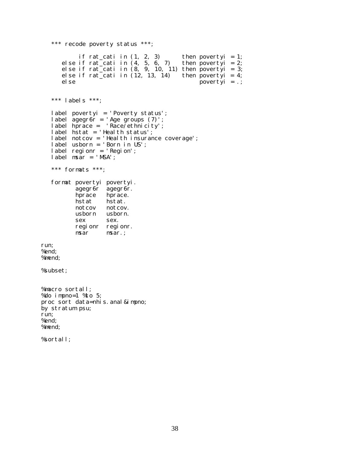```
*** recode poverty status ***; 
            if rat_cati in (1, 2, 3) then povertyi = 1;
       else if rat_cati in (4, 5, 6, 7) then povertyi = 2;
       else if rat_cati in (8, 9, 10, 11) then povertyi = 3; 
      else if rat_cati in (12, 13, 14) then poverty = 4;<br>else poverty = .:
                                                   povertyi = .;
   *** labels ***; 
   label povertyi = 'Poverty status'; 
   label agegr6r = 'Age groups (7)'; 
   label hprace = 'Race/ethnicity'; 
   label hstat = 'Health status'; 
   label notcov = 'Health insurance coverage'; 
   label usborn = 'Born in US'; 
   label regionr = 'Region'; 
   label msar = 'MSA';
   *** formats ***; 
   format povertyi povertyi. 
           agegr6r agegr6r.<br>hprace hprace.
           hprace hprace.<br>hstat hstat.
                     hstat.
           notcov notcov. 
           usborn usborn. 
           sex sex.
           regionr regionr.<br>msar msar.:
                     msar.;
run; 
%end; 
%mend; 
%subset; 
%macro sortall; 
%do impno=1 %to 5; 
proc sort data=nhis. anal & impno;
by stratum psu;
run; 
%end; 
%mend; 
%sortall;
```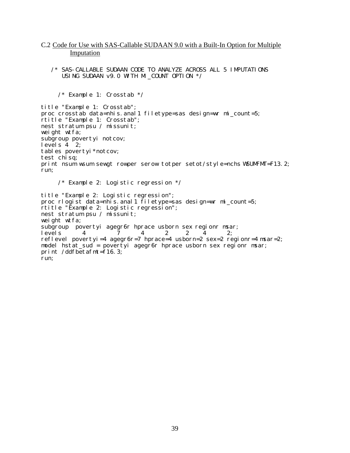### C.2 Code for Use with SAS-Callable SUDAAN 9.0 with a Built-In Option for Multiple Imputation

/\* SAS-CALLABLE SUDAAN CODE TO ANALYZE ACROSS ALL 5 IMPUTATIONS USING SUDAAN v9.0 WITH MI\_COUNT OPTION \*/

```
/* Example 1: Crosstab */
```
title "Example 1: Crosstab"; proc crosstab data=nhis.anal1 filetype=sas design=wr mi\_count=5; rtitle "Example 1: Crosstab"; nest stratum psu / missunit; weight wtfa; subgroup povertyi notcov; levels  $4 \overline{2}$ ; tables povertyi\*notcov; test chisq; print nsum wsum sewgt rowper serow totper setot/style=nchs WSUMFMT=F13.2; run; /\* Example 2: Logistic regression  $*/$ title "Example 2: Logistic regression"; proc rlogist data=nhis.anal1 filetype=sas design=wr mi\_count=5; rtitle "Example 2: Logistic regression"; nest stratum psu / missunit; weight wtfa; subgroup povertyi agegr6r hprace usborn sex regionr msar;<br>levels 4 7 4 2 2 4 2;

```
levels 4 7 4 2 2 4 2; 
reflevel povertyi=4 agegr6r=7 hprace=4 usborn=2 sex=2 regionr=4 msar=2; 
model hstat_sud = povertyi agegr6r hprace usborn sex regionr msar;
print /ddfbetafmt=f16.3;
run;
```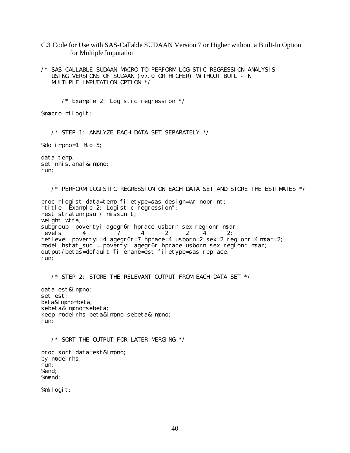C.3 Code for Use with SAS-Callable SUDAAN Version 7 or Higher without a Built-In Option for Multiple Imputation

/\* SAS-CALLABLE SUDAAN MACRO TO PERFORM LOGISTIC REGRESSION ANALYSIS USING VERSIONS OF SUDAAN (v7.0 OR HIGHER) WITHOUT BUILT-IN MULTIPLE IMPUTATION OPTION  $*/$ 

/\* Example 2: Logistic regression  $*/$ 

%macro milogit;

/\* STEP 1: ANALYZE EACH DATA SET SEPARATELY \*/

%do impno=1 %to 5;

data temp; set nhis. anal & impno; run;

/\* PERFORM LOGISTIC REGRESSION ON EACH DATA SET AND STORE THE ESTIMATES \*/

proc rlogist data=temp filetype=sas design=wr noprint; rtitle "Example 2: Logistic regression"; nest stratum psu / missunit; weight wtfa; subgroup povertyi agegr6r hprace usborn sex regionr msar;<br>levels 4 7 4 2 2 4 2: levels 4 7 4 2 2 4 2; reflevel povertyi=4 agegr $6r=7$  hprace=4 usborn=2 sex=2 regionr=4 msar=2; model hstat\_sud = povertyi agegr6r hprace usborn sex regionr msar; output/betas=default filename=est filetype=sas replace; run;

 $\frac{1}{2}$  STEP 2: STORE THE RELEVANT OUTPUT FROM EACH DATA SET  $\frac{*}{2}$ 

data est&impno; set est; beta&impno=beta; sebeta&impno=sebeta; keep modelrhs beta&impno sebeta&impno; run;

/\* SORT THE OUTPUT FOR LATER MERGING \*/

proc sort data=est&impno; by model rhs; run; %end; %mend;

%milogit;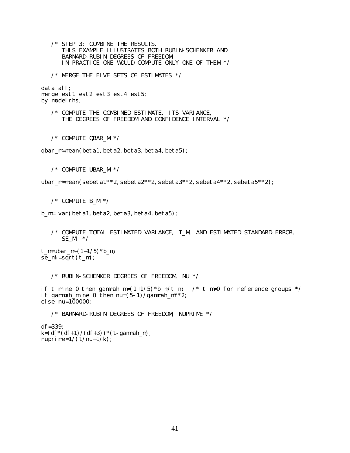/\* STEP 3: COMBINE THE RESULTS. THIS EXAMPLE ILLUSTRATES BOTH RUBIN-SCHENKER AND BARNARD-RUBIN DEGREES OF FREEDOM. IN PRACTICE ONE WOULD COMPUTE ONLY ONE OF THEM \*/

/\* MERGE THE FIVE SETS OF ESTIMATES \*/

data all; merge est1 est2 est3 est4 est5; by model rhs;

/\* COMPUTE THE COMBINED ESTIMATE, ITS VARIANCE, THE DEGREES OF FREEDOM AND CONFIDENCE INTERVAL \*/

/\* COMPUTE QBAR\_M \*/

qbar\_m=mean(beta1, beta2, beta3, beta4, beta5);

/\* COMPUTE UBAR\_M \*/

ubar\_m=mean(sebeta1\*\*2,sebeta2\*\*2,sebeta3\*\*2,sebeta4\*\*2,sebeta5\*\*2);

 $/*$  COMPUTE B M  $*/$ 

b\_m= var(beta1, beta2, beta3, beta4, beta5);

/\* COMPUTE TOTAL ESTIMATED VARIANCE, T\_M, AND ESTIMATED STANDARD ERROR, SE  $M \t */$ 

 $t_m = ubar_m+(1+1/5)*b_m;$  $se\_mi=sqrt(t_m);$ 

 $/*$  RUBIN-SCHENKER DEGREES OF FREEDOM, NU  $*/$ 

if t\_m ne 0 then gammah\_m= $(1+1/5)*b_m/t_m$ ; /\* t\_m=0 for reference groups \*/ if gammah\_m ne 0 then nu= $(5-1)/$ gammah\_m<sup>\*\*</sup>2; else nu=100000;

/\* BARNARD-RUBIN DEGREES OF FREEDOM, NUPRIME \*/

df=339;  $k=(df*(df+1)/(df+3))*(1-gamma_m);$ nuprime= $1/(1/nu+1/k)$ ;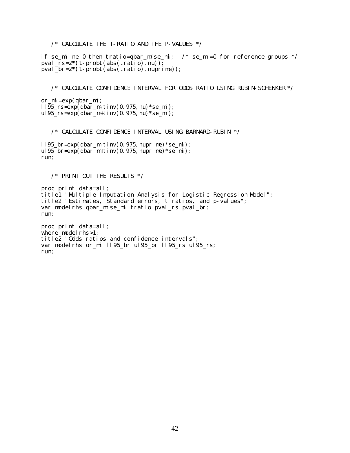/\* CALCULATE THE T-RATIO AND THE P-VALUES \*/

if se\_mi ne 0 then tratio=qbar\_m/se\_mi; /\* se\_mi=0 for reference groups \*/ pval  $rs=2*(1-probt(abs(traino),nu));$  $\frac{1}{p}$ val $\frac{1}{p}$ br=2\*(1-probt(abs(tratio), nuprime));

/\* CALCULATE CONFIDENCE INTERVAL FOR ODDS RATIO USING RUBIN-SCHENKER \*/

or $\text{mi} = \exp(\text{qbar}_m);$ ll95\_rs=exp(qbar\_m-tinv(0.975,nu) \*se\_mi); ul 95\_rs=exp(qbar\_m+tinv(0.975, nu) \*se\_mi);

/\* CALCULATE CONFIDENCE INTERVAL USING BARNARD-RUBIN \*/

ll95 br=exp(qbar\_m-tinv(0.975, nuprime) \*se\_mi); ul 95\_br=exp(qbar\_m+tinv(0.975, nuprime) \*se\_mi); run;

/\* PRINT OUT THE RESULTS \*/

proc print data=all; title1 "Multiple Imputation Analysis for Logistic Regression Model"; title2 "Estimates, Standard errors, t ratios, and p-values"; var modelrhs qbar\_m se\_mi tratio pval\_rs pval\_br; run;

proc print data=all; where model  $r$ hs>1; title2 "Odds ratios and confidence intervals"; var modelrhs or\_mi ll95\_br ul95\_br ll95\_rs ul95\_rs; run;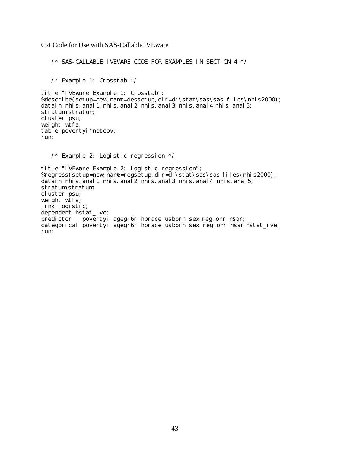C.4 Code for Use with SAS-Callable IVEware

/\* SAS-CALLABLE IVEWARE CODE FOR EXAMPLES IN SECTION 4 \*/

/\* Example 1: Crosstab \*/

title "IVEware Example 1: Crosstab"; %describe(setup=new,name=dessetup,dir=d:\stat\sas\sas files\nhis2000); datain nhis. anal 1 nhis. anal 2 nhis. anal 3 nhis. anal 4 nhis. anal 5; stratum stratum; cluster psu; weight wtfa; table povertyi\*notcov; run;

/\* Example 2: Logistic regression \*/

title "IVEware Example 2: Logistic regression"; %regress(setup=new, name=regsetup, dir=d: \stat\sas\sas files\nhis2000); datain nhis. anal 1 nhis. anal 2 nhis. anal 3 nhis. anal 4 nhis. anal 5; stratum stratum; cluster psu; weight wtfa; link logistic; dependent hstat\_ive; predictor povertyi agegr6r hprace usborn sex regionr msar; categorical povertyi agegr6r hprace usborn sex regionr msar hstat\_ive; run;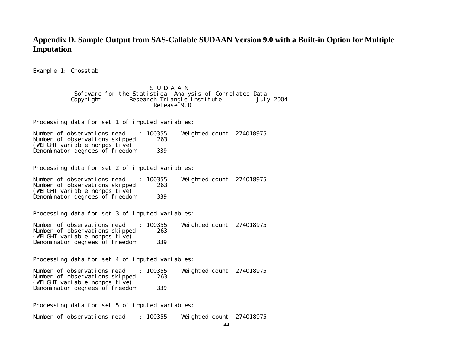# **Appendix D. Sample Output from SAS-Callable SUDAAN Version 9.0 with a Built-in Option for Multiple Imputation**

Example 1: Crosstab

### S U D A A N Software for the Statistical Analysis of Correlated Data Copyright Research Triangle Institute July 2004 Release 9.0

Processing data for set 1 of imputed variables:

Number of observations read : 100355 Weighted count :274018975 Number of observations skipped :  $(WEIGHT \text{ vari} \text{ } \text{ }ab1 \text{ e} \text{ nonpositive})$ Denominator degrees of freedom : 339

Processing data for set 2 of imputed variables:

Number of observations read : 100355 Weighted count :274018975 Number of observations skipped : (WEIGHT variable nonpositive) Denominator degrees of freedom : 339

Processing data for set 3 of imputed variables:

Number of observations read : 100355 Weighted count :274018975 Number of observations skipped :  $(WEIGHT \text{ vari} \text{able nonpositive})$ Denominator degrees of freedom : 339

Processing data for set 4 of imputed variables:

Number of observations read : 100355 Weighted count :274018975 Number of observations skipped : (WEIGHT variable nonpositive) Denominator degrees of freedom : 339

Processing data for set 5 of imputed variables:

Number of observations read : 100355 Weighted count :274018975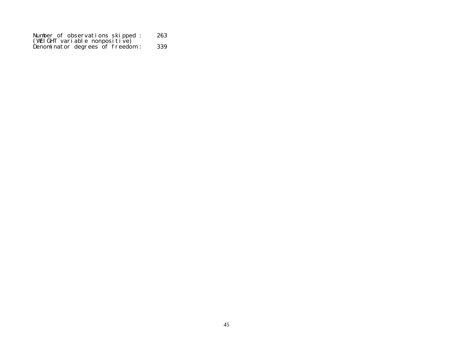| Number of observations skipped:     | 263 |
|-------------------------------------|-----|
| $(WEIGHT\ vari \ able nonpositive)$ |     |
| Denominator degrees of freedom:     | 339 |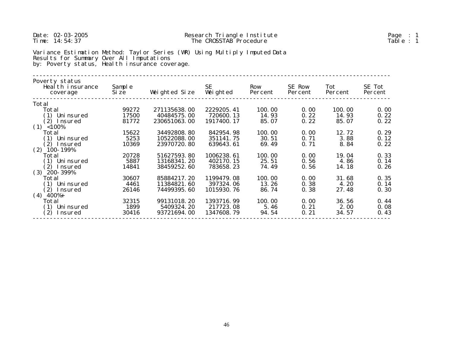| Date: 02-03-2005<br>Time: $14:54:37$                                                                                                                                     |                 |               | Research Triangle Institute<br>The CROSSTAB Procedure |                |                   |                | Page $: 1$<br>Table : 1 |  |
|--------------------------------------------------------------------------------------------------------------------------------------------------------------------------|-----------------|---------------|-------------------------------------------------------|----------------|-------------------|----------------|-------------------------|--|
| Variance Estimation Method: Taylor Series (WR) Using Multiply Imputed Data<br>Results for Summary Over All Imputations<br>by: Poverty status, Health insurance coverage. |                 |               |                                                       |                |                   |                |                         |  |
| Poverty status<br>Health insurance<br>coverage                                                                                                                           | Sample<br>Si ze | Weighted Size | <b>SE</b><br>Weighted                                 | Row<br>Percent | SE Row<br>Percent | Tot<br>Percent | SE Tot<br>Percent       |  |
| Total                                                                                                                                                                    |                 |               |                                                       |                |                   |                |                         |  |
| Total                                                                                                                                                                    | 99272           | 271135638.00  | 2229205.41                                            | 100.00         | 0.00              | 100.00         | 0.00                    |  |
| (1) Uni nsured                                                                                                                                                           | 17500           | 40484575.00   | 720600.13                                             | 14.93          | 0.22              | 14.93          | 0.22                    |  |
| (2) Insured                                                                                                                                                              | 81772           | 230651063.00  | 1917400.17                                            | 85.07          | 0.22              | 85.07          | 0.22                    |  |
| $(1)$ <100%                                                                                                                                                              |                 |               |                                                       |                |                   |                |                         |  |
| Total                                                                                                                                                                    | 15622           | 34492808.80   | 842954.98                                             | 100.00         | 0.00              | 12.72          | 0.29                    |  |
| (1) Uni nsured                                                                                                                                                           | 5253            | 10522088.00   | 351141.75                                             | 30.51          | 0.71              | 3.88           | 0.12                    |  |
| (2) Insured                                                                                                                                                              | 10369           | 23970720.80   | 639643.61                                             | 69.49          | 0.71              | 8.84           | 0.22                    |  |
| $(2)$ 100-199%<br>Total                                                                                                                                                  | 20728           | 51627593.80   | 1006238.61                                            | 100.00         | 0.00              | 19.04          | 0.33                    |  |
| (1) Uninsured                                                                                                                                                            | 5887            | 13168341.20   | 402170.15                                             | 25.51          | 0.56              | 4.86           | 0.14                    |  |
| (2) Insured                                                                                                                                                              | 14841           | 38459252.60   | 783658.23                                             | 74.49          | 0.56              | 14.18          | 0.26                    |  |
| $(3)$ 200-399%                                                                                                                                                           |                 |               |                                                       |                |                   |                |                         |  |
| Total                                                                                                                                                                    | 30607           | 85884217.20   | 1199479.08                                            | 100.00         | 0.00              | 31.68          | 0.35                    |  |
| (1) Uninsured                                                                                                                                                            | 4461            | 11384821.60   | 397324.06                                             | 13.26          | 0.38              | 4.20           | 0.14                    |  |
| (2) Insured                                                                                                                                                              | 26146           | 74499395.60   | 1015930.76                                            | 86.74          | 0.38              | 27.48          | 0.30                    |  |
| $(4)$ 400%+                                                                                                                                                              |                 |               |                                                       |                |                   |                |                         |  |
| Total                                                                                                                                                                    | 32315           | 99131018.20   | 1393716.99                                            | 100.00         | 0.00              | 36.56          | 0.44                    |  |
| (1) Uni nsured                                                                                                                                                           | 1899            | 5409324.20    | 217723.08                                             | 5.46           | 0.21              | 2.00           | 0.08                    |  |
| (2) Insured                                                                                                                                                              | 30416           | 93721694.00   | 1347608.79                                            | 94.54          | 0.21              | 34.57          | 0.43                    |  |
|                                                                                                                                                                          |                 |               |                                                       |                |                   |                |                         |  |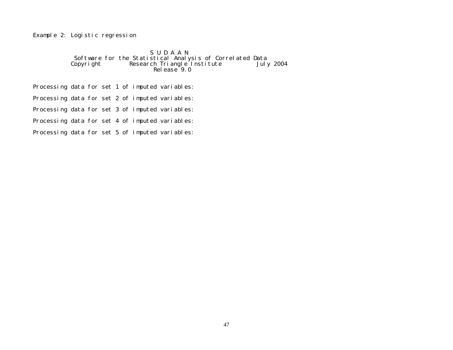Example 2: Logistic regression

### S U D A A N Software for the Statistical Analysis of Correlated Data Copyright Research Triangle Institute July 2004 Release 9.0

Processing data for set 1 of imputed variables:

Processing data for set 2 of imputed variables:

Processing data for set 3 of imputed variables:

Processing data for set 4 of imputed variables:

Processing data for set 5 of imputed variables: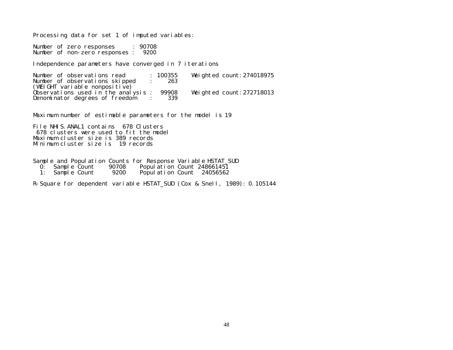Processing data for set 1 of imputed variables:

Number of zero responses : 90708 Number of non-zero responses : 9200

Independence parameters have converged in 7 iterations

Number of observations read : 100355 Weighted count:274018975 Number of observations skipped : 263 (WEIGHT variable nonpositive) Observations used in the analysis : 99908 Weighted count:272718013 Denominator degrees of freedom : 339

Maximum number of estimable parameters for the model is 19

File NHIS. ANAL1 contains 678 Clusters 678 clusters were used to fit the model Maximum cluster size is 389 records Minimum cluster size is 19 records

Sample and Population Counts for Response Variable HSTAT\_SUD<br>0: Sample Count 90708 Population Count 248661451

- 0: Sample Count 90708 Population Count 248661451<br>1: Sample Count 9200 Population Count 24056562
- Population Count 24056562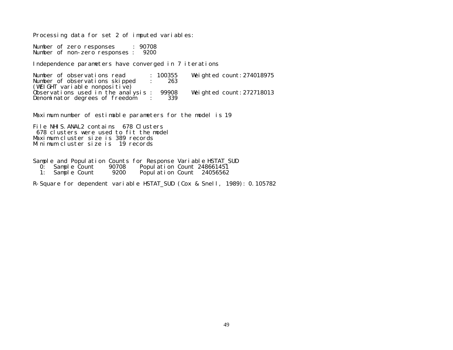Processing data for set 2 of imputed variables:

Number of zero responses : 90708 Number of non-zero responses : 9200

Independence parameters have converged in 7 iterations

Number of observations read : 100355 Weighted count:274018975 Number of observations skipped : <sup>263</sup> (WEIGHT variable nonpositive) Observations used in the analysis : 99908 Weighted count:272718013 Denominator degrees of freedom : 339

Maximum number of estimable parameters for the model is 19

File NHIS.ANAL2 contains 678 Clusters 678 clusters were used to fit the model Maximum cluster size is 389 records Minimum cluster size is 19 records

Sample and Population Counts for Response Variable HSTAT\_SUD<br>0: Sample Count 90708 Population Count 248661451

- 0: Sample Count 90708 Population Count 248661451<br>1: Sample Count 9200 Population Count 24056562
- Population Count 24056562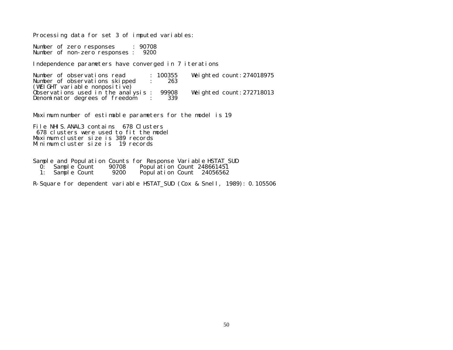Processing data for set 3 of imputed variables:

Number of zero responses : 90708 Number of non-zero responses : 9200

Independence parameters have converged in 7 iterations

Number of observations read : 100355 Weighted count:274018975 Number of observations skipped : <sup>263</sup> (WEIGHT variable nonpositive) Observations used in the analysis : 99908 Weighted count:272718013 Denominator degrees of freedom : 339

Maximum number of estimable parameters for the model is 19

File NHIS. ANAL3 contains 678 Clusters 678 clusters were used to fit the model Maximum cluster size is 389 records Minimum cluster size is 19 records

Sample and Population Counts for Response Variable HSTAT\_SUD<br>0: Sample Count 90708 Population Count 248661451

- 0: Sample Count 90708 Population Count 248661451<br>1: Sample Count 9200 Population Count 24056562
- Population Count 24056562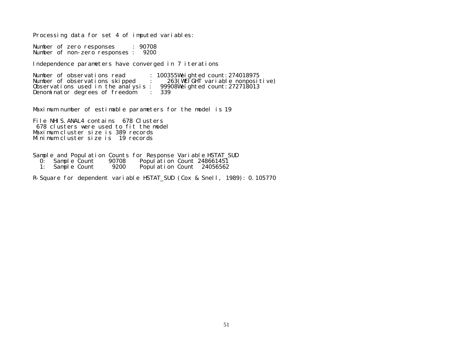Processing data for set 4 of imputed variables:

Number of zero responses : 90708 Number of non-zero responses : 9200

Independence parameters have converged in 7 iterations

Number of observations read : 100355Weighted count: 274018975<br>Number of observations skipped : 263(WEIGHT variable nonposit 263(WEIGHT variable nonpositive)<br>99908Weighted count:272718013 Observations used in the analysis :  $9990$ <br>Denominator degrees of freedom : 339 Denominator degrees of freedom

Maximum number of estimable parameters for the model is 19

File NHIS.ANAL4 contains 678 Clusters 678 clusters were used to fit the model Maximum cluster size is 389 records Minimum cluster size is 19 records

Sample and Population Counts for Response Variable HSTAT\_SUD

| 0: | Sample Count |  | 90708 | Population Count 248661451 |  |  |
|----|--------------|--|-------|----------------------------|--|--|
|----|--------------|--|-------|----------------------------|--|--|

1: Sample Count 9200 Population Count 24056562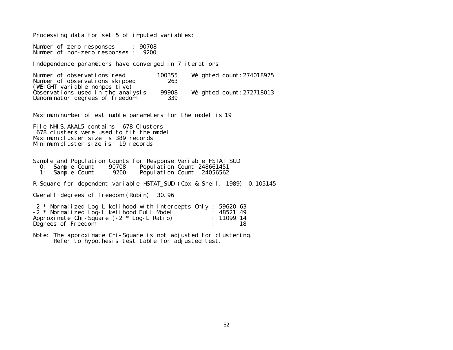Processing data for set 5 of imputed variables:

Number of zero responses : 90708 Number of non-zero responses : 9200

Independence parameters have converged in 7 iterations

Number of observations read : 100355 Weighted count:274018975 Number of observations skipped : <sup>263</sup> (WEIGHT variable nonpositive) Observations used in the analysis : 99908 Weighted count:272718013 Denominator degrees of freedom : <sup>339</sup>

Maximum number of estimable parameters for the model is 19

File NHIS. ANAL5 contains 678 Clusters 678 clusters were used to fit the model Maximum cluster size is 389 records Minimum cluster size is 19 records

Sample and Population Counts for Response Variable HSTAT\_SUD

- 0: Sample Count 90708 Population Count 248661451<br>1: Sample Count 9200 Population Count 24056562
- Population Count 24056562

R-Square for dependent variable HSTAT\_SUD (Cox & Snell, 1989): 0.105145

Overall degrees of freedom (Rubin): 30.96

| -2 * Normalized Log-Likelihood with Intercepts Only : 59620.63 |            |
|----------------------------------------------------------------|------------|
| -2 * Normalized Log-Likelihood Full Model                      | : 48521.49 |
| Approximate Chi-Square $(-2 * Log-L \text{ Ratio})$            | : 11099.14 |
| Degrees of Freedom                                             |            |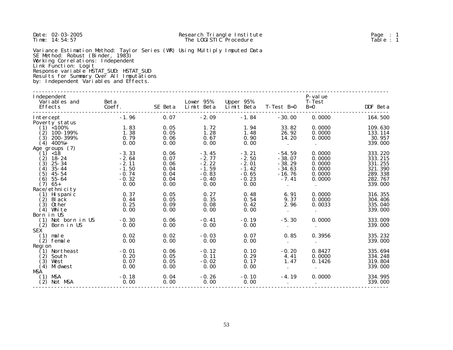| Date: 02-03-2005<br>Ti me: $14:54:57$                                                                                                                                                                                                                                                                        | Research Triangle Institute<br>The LOGISTIC Procedure          |                                              |                                                                |                                                                |                                                                     | Page $: 1$<br>Table: 1                                   |                                                                |
|--------------------------------------------------------------------------------------------------------------------------------------------------------------------------------------------------------------------------------------------------------------------------------------------------------------|----------------------------------------------------------------|----------------------------------------------|----------------------------------------------------------------|----------------------------------------------------------------|---------------------------------------------------------------------|----------------------------------------------------------|----------------------------------------------------------------|
| Variance Estimation Method: Taylor Series (WR) Using Multiply Imputed Data<br>SE Method: Robust (Binder, 1983)<br>Working Correl ations: Independent<br>Link Function: Logit<br>Response variable HSTAT_SUD: HSTAT_SUD<br>Results for Summary Over All Imputations<br>by: Independent Variables and Effects. |                                                                |                                              |                                                                |                                                                |                                                                     |                                                          |                                                                |
| Independent<br>Vari ables and<br>Effects                                                                                                                                                                                                                                                                     | Beta<br>Coeff.                                                 | SE Beta                                      | Lower 95%<br>Limit Beta Limit Beta T-Test B=0                  | Upper 95%                                                      |                                                                     | P-value<br><b>T-Test</b><br>$B=0$                        | DDF Beta                                                       |
| Intercept                                                                                                                                                                                                                                                                                                    | $-1.96$                                                        | 0.07                                         | $-2.09$                                                        | $-1.84$                                                        | $-30.00$                                                            | 0.0000                                                   | 164.500                                                        |
| Poverty status<br>$(1)$ < 100%<br>$(2)$ 100-199%<br>$(3)$ 200-399%<br>$(4)$ 400%+<br>Age groups (7)                                                                                                                                                                                                          | 1.83<br>1.38<br>0.79<br>0.00                                   | 0.05<br>0.05<br>0.06<br>0.00                 | 1.72<br>1.28<br>0.67<br>0.00                                   | 1.94<br>1.48<br>0.90<br>0.00                                   | 33.82<br>26.92<br>14.20<br>$\blacksquare$                           | 0.0000<br>0.0000<br>0.0000<br>$\sim$                     | 109.630<br>133.114<br>30.957<br>339.000                        |
| $(1)$ <18<br>$(2)$ 18-24<br>$(3)$ 25 - 34<br>$(4)$ 35-44<br>$(5)$ 45-54<br>$(6)$ 55-64                                                                                                                                                                                                                       | $-3.33$<br>$-2.64$<br>$-2.11$<br>$-1.50$<br>$-0.74$<br>$-0.32$ | 0.06<br>0.07<br>0.06<br>0.04<br>0.04<br>0.04 | $-3.45$<br>$-2.77$<br>$-2.22$<br>$-1.59$<br>$-0.83$<br>$-0.40$ | $-3.21$<br>$-2.50$<br>$-2.01$<br>$-1.42$<br>$-0.65$<br>$-0.23$ | $-54.59$<br>$-38.07$<br>$-38.29$<br>$-34.63$<br>$-16.76$<br>$-7.41$ | 0.0000<br>0.0000<br>0.0000<br>0.0000<br>0.0000<br>0.0000 | 333.220<br>333.215<br>331.255<br>321.390<br>289.338<br>282.767 |
| $(7)$ 65+<br>Race/ethnicity                                                                                                                                                                                                                                                                                  | 0.00                                                           | 0.00                                         | 0.00                                                           | 0.00                                                           | $\sim 100$                                                          | $\sim$                                                   | 339.000                                                        |
| $(1)$ Hi spanic<br>$(2)$ Black<br>$(3)$ 0ther<br>$(4)$ White                                                                                                                                                                                                                                                 | 0.37<br>0.44<br>0.25<br>0.00                                   | 0.05<br>0.05<br>0.09<br>0.00                 | 0.27<br>0.35<br>0.08<br>0.00                                   | 0.48<br>0.54<br>0.42<br>0.00                                   | 6.91<br>9.37<br>2.96<br>$\sim 10^{-10}$                             | 0.0000<br>0.0000<br>0.0033<br>$\sim$                     | 316.355<br>304.406<br>335.040<br>339.000                       |
| Born in US<br>$(1)$ Not born in US<br>$(2)$ Born in US<br><b>SEX</b>                                                                                                                                                                                                                                         | $-0.30$<br>0.00                                                | 0.06<br>0.00                                 | $-0.41$<br>0.00                                                | $-0.19$<br>0.00                                                | $-5.30$<br>$\sim 10^{-11}$                                          | 0.0000<br>$\bullet$                                      | 333.009<br>339.000                                             |
| $(1)$ male<br>$(2)$ female<br>Regi on                                                                                                                                                                                                                                                                        | 0.02<br>0.00                                                   | 0.02<br>0.00                                 | $-0.03$<br>0.00                                                | 0.07<br>0.00                                                   | 0.85<br>$\sim$                                                      | 0.3956<br>$\sim$                                         | 335.232<br>339.000                                             |
| $(1)$ Northeast<br>$(2)$ South<br>$(3)$ West<br>$(4)$ Midwest                                                                                                                                                                                                                                                | $-0.01$<br>0.20<br>0.07<br>0.00                                | 0.06<br>0.05<br>0.05<br>0.00                 | $-0.12$<br>0.11<br>$-0.02$<br>0.00                             | 0.10<br>0.29<br>0.17<br>0.00                                   | $-0.20$<br>4.41<br>1.47<br>$\sim 10^{-11}$                          | 0.8427<br>0.0000<br>0.1426<br>$\bullet$                  | 335.694<br>334.248<br>319.804<br>339.000                       |
| MSA<br>$(1)$ MSA<br>$(2)$ Not MSA                                                                                                                                                                                                                                                                            | $-0.18$<br>0.00                                                | 0.04<br>0.00                                 | $-0.26$<br>0.00                                                | $-0.10$<br>0.00                                                | $-4.19$<br>$\sim$                                                   | 0.0000<br>$\bullet$                                      | 334.995<br>339.000<br>----------                               |

53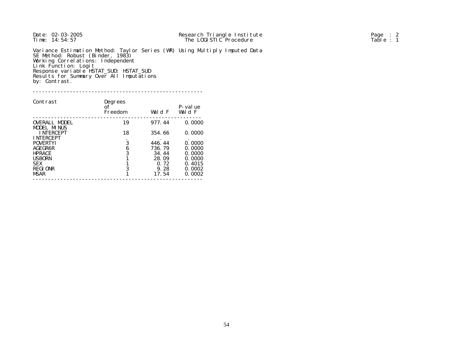Variance Estimation Method: Taylor Series (WR) Using Multiply Imputed Data SE Method: Robust (Binder, 1983) Working Correlations: Independent Link Function: Logit Response variable HSTAT\_SUD: HSTAT\_SUD Results for Summary Over All Imputations by: Contrast.

#### -------------------------------------------------------

| Contrast                            | Degrees<br>of<br>Freedom | Wald F | P-value<br>Wald F |
|-------------------------------------|--------------------------|--------|-------------------|
| <b>OVERALL MODEL</b><br>MODEL MINUS | 19                       | 977.44 | 0.0000            |
| <b>INTERCEPT</b>                    | 18                       | 354.66 | 0.0000            |
| <b>INTERCEPT</b>                    |                          |        |                   |
| <b>POVERTYI</b>                     | 3                        | 446.44 | 0.0000            |
| <b>AGEGR6R</b>                      | 6                        | 736.79 | 0.0000            |
| <b>HPRACE</b>                       | 3                        | 34.44  | 0.0000            |
| <b>USBORN</b>                       |                          | 28.09  | 0.0000            |
| <b>SEX</b>                          |                          | 0.72   | 0.4015            |
| <b>REGIONR</b>                      | 3                        | 9.28   | 0.0002            |
| <b>MSAR</b>                         |                          | 17.54  | 0.0002            |
|                                     |                          |        |                   |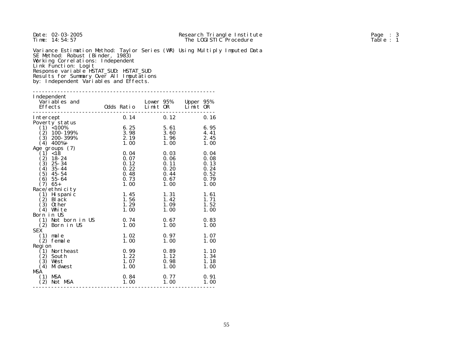| Date: 02-03-2005<br>Ti me: 14: 54: 57                                                                                                                                                                                          |                     |              | Research Triangle Institute<br>The LOGISTIC Procedure                      | Page $: 3$<br>Table: 1 |
|--------------------------------------------------------------------------------------------------------------------------------------------------------------------------------------------------------------------------------|---------------------|--------------|----------------------------------------------------------------------------|------------------------|
| SE Method: Robust (Binder, 1983)<br>Working Correl ations: Independent<br>Link Function: Logit<br>Response variable HSTAT_SUD: HSTAT_SUD<br>Results for Summary Over All Imputations<br>by: Independent Variables and Effects. |                     |              | Variance Estimation Method: Taylor Series (WR) Using Multiply Imputed Data |                        |
| Independent<br>Variables and<br>Effects                                                                                                                                                                                        | Odds Ratio Limit OR | Lower 95%    | Upper 95%<br>$Li$ mit OR                                                   |                        |
| Intercept                                                                                                                                                                                                                      | 0.14                | 0.12         | 0.16                                                                       |                        |
| Poverty status                                                                                                                                                                                                                 |                     |              |                                                                            |                        |
| $(1)$ < 100%                                                                                                                                                                                                                   | 6.25                | 5.61         | 6.95                                                                       |                        |
| $(2)$ 100-199%                                                                                                                                                                                                                 | 3.98                | 3.60         | 4.41                                                                       |                        |
| $(3)$ 200-399%                                                                                                                                                                                                                 | 2.19                | 1.96         | 2.45                                                                       |                        |
| $(4)$ 400%+                                                                                                                                                                                                                    | 1.00                | 1.00         | 1.00                                                                       |                        |
| Age groups (7)                                                                                                                                                                                                                 |                     |              |                                                                            |                        |
| $(1)$ <18                                                                                                                                                                                                                      | 0.04                | 0.03         | 0.04                                                                       |                        |
| $(2)$ 18-24                                                                                                                                                                                                                    | 0.07                | 0.06         | 0.08                                                                       |                        |
| $(3)$ 25 - 34                                                                                                                                                                                                                  | 0.12                | 0.11         | 0.13                                                                       |                        |
| $(4)$ 35-44                                                                                                                                                                                                                    | 0.22                | 0.20         | 0.24                                                                       |                        |
| $(5)$ 45-54                                                                                                                                                                                                                    | 0.48                | 0.44         | 0.52                                                                       |                        |
| $(6)$ 55-64                                                                                                                                                                                                                    | 0.73                | 0.67         | 0.79                                                                       |                        |
| $(7)$ 65+                                                                                                                                                                                                                      | 1.00                | 1.00         | 1.00                                                                       |                        |
| Race/ethnicity                                                                                                                                                                                                                 |                     |              |                                                                            |                        |
| $(1)$ Hispanic                                                                                                                                                                                                                 | 1.45                | 1.31         | 1.61                                                                       |                        |
| $(2)$ Black                                                                                                                                                                                                                    | 1.56                | 1.42         | 1.71                                                                       |                        |
| $(3)$ 0ther<br>$(4)$ White                                                                                                                                                                                                     | 1.29<br>1.00        | 1.09<br>1.00 | 1.52<br>1.00                                                               |                        |
| Born in US                                                                                                                                                                                                                     |                     |              |                                                                            |                        |
| (1) Not born in US                                                                                                                                                                                                             | 0.74                | 0.67         | 0.83                                                                       |                        |
| $(2)$ Born in US                                                                                                                                                                                                               | 1.00                | 1.00         | 1.00                                                                       |                        |
| <b>SEX</b>                                                                                                                                                                                                                     |                     |              |                                                                            |                        |
| $(1)$ male                                                                                                                                                                                                                     | 1.02                | 0.97         | 1.07                                                                       |                        |
| $(2)$ female                                                                                                                                                                                                                   | 1.00                | 1.00         | 1.00                                                                       |                        |
| Regi on                                                                                                                                                                                                                        |                     |              |                                                                            |                        |
| (1) Northeast                                                                                                                                                                                                                  | 0.99                | 0.89         | 1.10                                                                       |                        |
| $(2)$ South                                                                                                                                                                                                                    | 1.22                | 1.12         | 1.34                                                                       |                        |
| $(3)$ West                                                                                                                                                                                                                     | 1.07                | 0.98         | 1.18                                                                       |                        |
| $(4)$ Midwest                                                                                                                                                                                                                  | 1.00                | 1.00         | 1.00                                                                       |                        |
| <b>MSA</b>                                                                                                                                                                                                                     |                     |              |                                                                            |                        |
| $(1)$ MSA                                                                                                                                                                                                                      | 0.84                | 0.77         | 0.91                                                                       |                        |
| $(2)$ Not MSA                                                                                                                                                                                                                  | 1.00                | 1.00         | 1.00                                                                       |                        |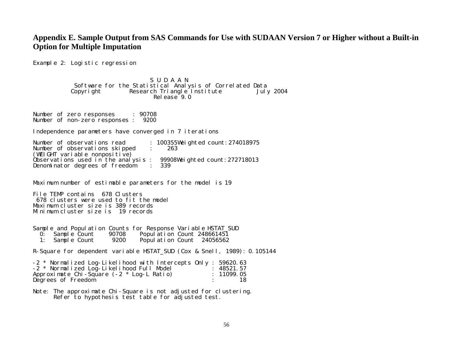# **Appendix E. Sample Output from SAS Commands for Use with SUDAAN Version 7 or Higher without a Built-in Option for Multiple Imputation**

Example 2: Logistic regression

S U D A A N Software for the Statistical Analysis of Correlated Data Research Triangle Institute Release<sup>9</sup>.0

Number of zero responses : 90708 Number of non-zero responses : 9200

Independence parameters have converged in 7 iterations

Number of observations read : 100355Weighted count:274018975<br>Number of observations skipped : 263 Number of observations skipped :  $(WEIGHT \text{ vari} \text{able nonpositive})$ Observations used in the analysis : 99908Weighted count:272718013<br>Denominator degrees of freedom : 339 Denominator degrees of freedom :

Maximum number of estimable parameters for the model is 19

File TEMP contains 678 Clusters 678 clusters were used to fit the model Maximum cluster size is 389 records Minimum cluster size is 19 records

|              |       | Sample and Population Counts for Response Variable HSTAT_SUD |
|--------------|-------|--------------------------------------------------------------|
| Sample Count | 90708 | Population Count 248661451                                   |
| Sample Count | 9200  | Population Count 24056562                                    |

R-Square for dependent variable HSTAT\_SUD (Cox & Snell, 1989): 0.105144

| -2 * Normalized Log-Likelihood with Intercepts Only : 59620.63 |            |
|----------------------------------------------------------------|------------|
| -2 * Normalized Log-Likelihood Full Model                      | : 48521.57 |
| Approximate Chi-Square $(-2 * Log-L Rati)$                     | : 11099.05 |
| Degrees of Freedom                                             |            |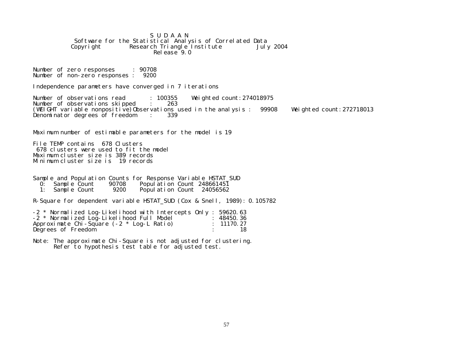S U D A A N Software for the Statistical Analysis of Correlated Data<br>Copyright Research Triangle Institute July 2004 Research Triangle Institute  $Rel$ ease  $9.0$ 

Number of zero responses : 90708 Number of non-zero responses : 9200

Independence parameters have converged in 7 iterations

Number of observations read : 100355 Weighted count: 274018975 Number of observations skipped : 263 (WEIGHT variable nonpositive)Observations used in the analysis : 99908 Weighted count:272718013<br>Denominator degrees of freedom : 339 Denominator degrees of freedom :

Maximum number of estimable parameters for the model is 19

File TEMP contains 678 Clusters 678 clusters were used to fit the model Maximum cluster size is 389 records Minimum cluster size is 19 records

Sample and Population Counts for Response Variable HSTAT\_SUD 0: Sample Count 90708 Population Count 248661451<br>1: Sample Count 9200 Population Count 24056562 Population Count 24056562

R-Square for dependent variable HSTAT\_SUD (Cox & Snell, 1989): 0.105782

| -2 * Normalized Log-Likelihood with Intercepts Only: 59620.63 |            |
|---------------------------------------------------------------|------------|
| -2 * Normalized Log-Likelihood Full Model                     | : 48450.36 |
| Approximate Chi-Square $(-2 * Log-L \text{ Ratio})$           | : 11170.27 |
| Degrees of Freedom                                            |            |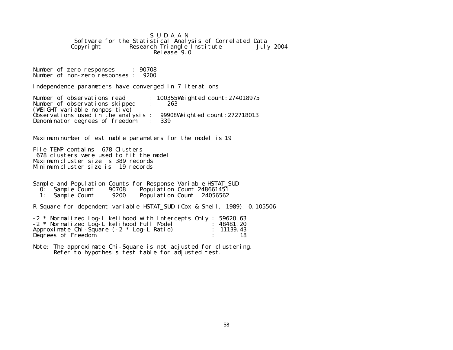S U D A A N Software for the Statistical Analysis of Correlated Data<br>Copyright Research Triangle Institute July 2004  $Research$  Triangle Institute Release<sup>9</sup>.0

Number of zero responses : 90708 Number of non-zero responses : 9200

Independence parameters have converged in 7 iterations

Number of observations read : 100355Weighted count: 274018975 Number of observations skipped : 263  $(WEIGHT \text{ vari} \text{ able nonpositive})$ Observations used in the analysis :  $99908$ Weighted count: 272718013<br>Denominator degrees of freedom : 339 Denominator degrees of freedom

Maximum number of estimable parameters for the model is 19

File TEMP contains 678 Clusters 678 clusters were used to fit the model Maximum cluster size is 389 records Minimum cluster size is 19 records

|                |              |       | Sample and Population Counts for Response Variable HSTAT SUD |
|----------------|--------------|-------|--------------------------------------------------------------|
| $\mathbf{0}$ : | Sample Count | 90708 | Popul ation Count 248661451                                  |
|                | Sample Count | 9200  | Population Count 24056562                                    |

R-Square for dependent variable HSTAT\_SUD (Cox & Snell, 1989): 0.105506

| -2 * Normalized Log-Likelihood with Intercepts Only : 59620.63 |                       |
|----------------------------------------------------------------|-----------------------|
| -2 * Normalized Log-Likelihood Full Model                      | : 48481.20            |
| Approximate Chi-Square $(-2 * Log-L Rati)$                     | $\therefore$ 11139.43 |
| Degrees of Freedom                                             |                       |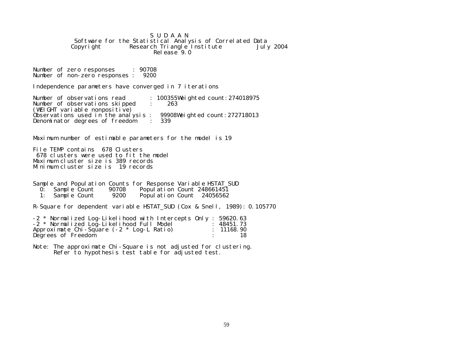S U D A A N Software for the Statistical Analysis of Correlated Data<br>Copyright Research Triangle Institute July 2004 Research Triangle Institute Release<sup>9</sup>.0

Number of zero responses : 90708 Number of non-zero responses : 9200

Independence parameters have converged in 7 iterations

Number of observations read : 100355Weighted count: 274018975 Number of observations skipped : 263 (WEIGHT variable nonpositive) Observations used in the analysis :  $99908$ Weighted count: 272718013<br>Denominator degrees of freedom : 339 Denominator degrees of freedom

Maximum number of estimable parameters for the model is 19

File TEMP contains 678 Clusters 678 clusters were used to fit the model Maximum cluster size is 389 records Minimum cluster size is 19 records

|    |              |       | Sample and Population Counts for Response Variable HSTAT SUD |
|----|--------------|-------|--------------------------------------------------------------|
| 0: | Sample Count | 90708 | Popul ation Count 248661451                                  |
|    | Sample Count | 9200  | Population Count 24056562                                    |

R-Square for dependent variable HSTAT\_SUD (Cox & Snell, 1989): 0.105770

| -2 * Normalized Log-Likelihood with Intercepts Only : 59620.63 |            |
|----------------------------------------------------------------|------------|
| -2 * Normalized Log-Likelihood Full Model                      | : 48451.73 |
| Approximate Chi-Square $(-2 * Log-L \text{ Ratio})$            | : 11168.90 |
| Degrees of Freedom                                             |            |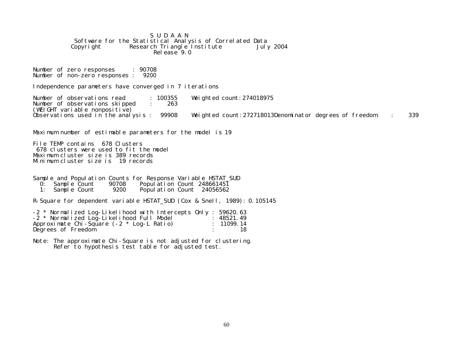S U D A A N Software for the Statistical Analysis of Correlated Data<br>Copyright Research Triangle Institute July 2004 Research Triangle Institute  $Rel$ ease  $9.0$ 

Number of zero responses : 90708 Number of non-zero responses : 9200

Independence parameters have converged in 7 iterations

Number of observations read : 100355 Weighted count:274018975 Number of observations skipped : (WEIGHT variable nonpositive)<br>Observations used in the analysis : 99908 Weighted count: 272718013Denominator degrees of freedom : 339

Maximum number of estimable parameters for the model is 19

File TEMP contains 678 Clusters 678 clusters were used to fit the model Maximum cluster size is 389 records Minimum cluster size is 19 records

Sample and Population Counts for Response Variable HSTAT\_SUD 0: Sample Count 90708 Population Count 248661451<br>1: Sample Count 9200 Population Count 24056562 Population Count 24056562

R-Square for dependent variable HSTAT\_SUD (Cox & Snell, 1989): 0.105145

| -2 * Normalized Log-Likelihood with Intercepts Only : 59620.63 |            |
|----------------------------------------------------------------|------------|
| -2 * Normalized Log-Likelihood Full Model                      | : 48521.49 |
| Approximate Chi-Square $(-2 * Log-L \text{ Ratio})$            | : 11099.14 |
| Degrees of Freedom                                             |            |

Note: The approximate Chi-Square is not adjusted for clustering. Refer to hypothesis test table for adjusted test.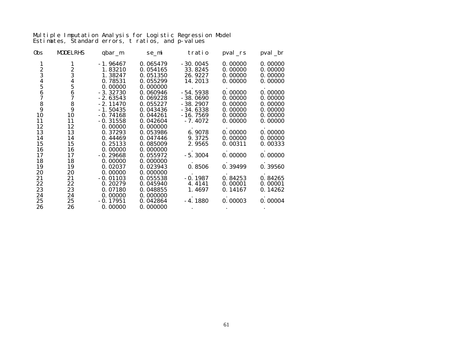Multiple Imputation Analysis for Logistic Regression Model Estimates, Standard errors, t ratios, and p-values

| 0bs           | <b>MODELRHS</b>                | qbar_m     | se_mi    | tratio     | $pval\_rs$ | pval_br |
|---------------|--------------------------------|------------|----------|------------|------------|---------|
| 1             |                                | $-1.96467$ | 0.065479 | $-30.0045$ | 0.00000    | 0.00000 |
|               | $\frac{2}{3}$                  | 1.83210    | 0.054165 | 33.8245    | 0.00000    | 0.00000 |
| $\frac{2}{3}$ |                                | 1.38247    | 0.051350 | 26.9227    | 0.00000    | 0.00000 |
|               |                                | 0.78531    | 0.055299 | 14.2013    | 0.00000    | 0.00000 |
| $\frac{4}{5}$ | $\frac{4}{5}$<br>$\frac{6}{7}$ | 0.00000    | 0.000000 |            |            |         |
|               |                                | $-3.32730$ | 0.060946 | $-54.5938$ | 0.00000    | 0.00000 |
| $\frac{6}{7}$ |                                | $-2.63543$ | 0.069228 | $-38.0690$ | 0.00000    | 0.00000 |
|               | $\frac{8}{9}$                  | $-2.11470$ | 0.055227 | $-38.2907$ | 0.00000    | 0.00000 |
| $\frac{8}{9}$ |                                | $-1.50435$ | 0.043436 | $-34.6338$ | 0.00000    | 0.00000 |
| 10            | 10                             | $-0.74168$ | 0.044261 | $-16.7569$ | 0.00000    | 0.00000 |
| 11            | 11                             | $-0.31558$ | 0.042604 | $-7.4072$  | 0.00000    | 0.00000 |
| 12            | 12                             | 0.00000    | 0.000000 |            |            |         |
| 13            | 13                             | 0.37293    | 0.053986 | 6.9078     | 0.00000    | 0.00000 |
| 14            | 14                             | 0.44469    | 0.047446 | 9.3725     | 0.00000    | 0.00000 |
| 15            | 15                             | 0.25133    | 0.085009 | 2.9565     | 0.00311    | 0.00333 |
| 16            | 16                             | 0.00000    | 0.000000 |            |            |         |
| 17            | 17                             | $-0.29668$ | 0.055972 | $-5.3004$  | 0.00000    | 0.00000 |
| 18            | 18                             | 0.00000    | 0.000000 |            |            |         |
| 19            | 19                             | 0.02037    | 0.023943 | 0.8506     | 0.39499    | 0.39560 |
| 20            | 20                             | 0.00000    | 0.000000 |            |            |         |
| 21            | 21                             | $-0.01103$ | 0.055538 | $-0.1987$  | 0.84253    | 0.84265 |
| 22            | 22                             | 0.20279    | 0.045940 | 4.4141     | 0.00001    | 0.00001 |
| 23            | 23                             | 0.07180    | 0.048855 | 1.4697     | 0.14167    | 0.14262 |
| 24            | 24                             | 0.00000    | 0.000000 |            |            |         |
| 25            | 25                             | $-0.17951$ | 0.042864 | $-4.1880$  | 0.00003    | 0.00004 |
| 26            | 26                             | 0.00000    | 0.000000 |            |            |         |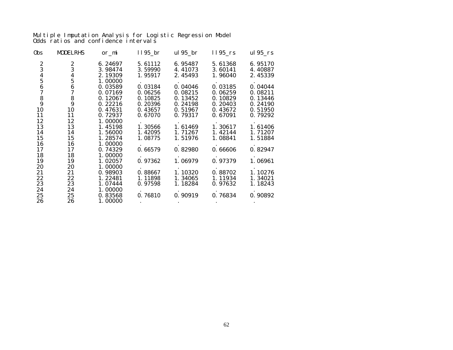Multiple Imputation Analysis for Logistic Regression Model Odds ratios and confidence intervals

| 0bs      | <b>MODELRHS</b> | or_mi   | $1195$ <sub>_</sub> br | ul 95_br | $1195$ <sub>rs</sub> | ul $95$ _rs |
|----------|-----------------|---------|------------------------|----------|----------------------|-------------|
|          |                 | 6.24697 | 5.61112                | 6.95487  | 5.61368              | 6.95170     |
|          |                 | 3.98474 | 3.59990                | 4.41073  | 3.60141              | 4.40887     |
| 23456789 | 234567          | 2.19309 | 1.95917                | 2.45493  | 1.96040              | 2.45339     |
|          |                 | 1.00000 |                        |          |                      |             |
|          |                 | 0.03589 | 0.03184                | 0.04046  | 0.03185              | 0.04044     |
|          |                 | 0.07169 | 0.06256                | 0.08215  | 0.06259              | 0.08211     |
|          | $\frac{8}{9}$   | 0.12067 | 0.10825                | 0.13452  | 0.10829              | 0.13446     |
|          |                 | 0.22216 | 0.20396                | 0.24198  | 0.20403              | 0.24190     |
| 10       | 10              | 0.47631 | 0.43657                | 0.51967  | 0.43672              | 0.51950     |
| 11       | 11              | 0.72937 | 0.67070                | 0.79317  | 0.67091              | 0.79292     |
| 12       | 12              | 1.00000 |                        |          |                      |             |
| 13       | 13              | 1.45198 | 1.30566                | 1.61469  | 1.30617              | 1.61406     |
| 14       | 14              | 1.56000 | 1.42095                | 1.71267  | 1.42144              | 1.71207     |
| 15       | 15              | 1.28574 | 1.08775                | 1.51976  | 1.08841              | 1.51884     |
| 16       | 16              | 1.00000 |                        |          |                      |             |
| 17       | 17              | 0.74329 | 0.66579                | 0.82980  | 0.66606              | 0.82947     |
| 18       | 18              | 1.00000 |                        |          |                      |             |
| 19       | 19              | 1.02057 | 0.97362                | 1.06979  | 0.97379              | 1.06961     |
| 20       | 20              | 1.00000 |                        |          |                      |             |
| 21       | 21              | 0.98903 | 0.88667                | 1.10320  | 0.88702              | 1.10276     |
| 22       | 22              | 1.22481 | 1.11898                | 1.34065  | 1.11934              | 1.34021     |
| 23       | 23              | 1.07444 | 0.97598                | 1.18284  | 0.97632              | 1.18243     |
| 24       | 24              | 1.00000 |                        |          |                      |             |
| 25       | 25              | 0.83568 | 0.76810                | 0.90919  | 0.76834              | 0.90892     |
| 26       | 26              | 1.00000 |                        |          |                      |             |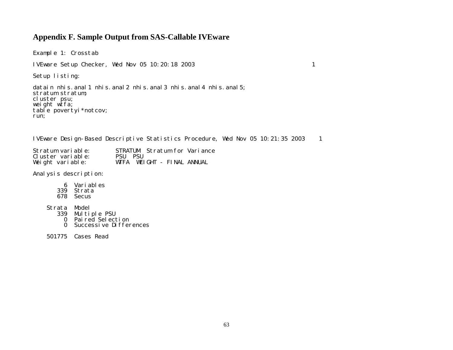## **Appendix F. Sample Output from SAS-Callable IVEware**

Example 1: Crosstab IVEware Setup Checker, Wed Nov 05 10:20:18 2003 1 Setup listing: datain nhis. anal 1 nhis. anal 2 nhis. anal 3 nhis. anal 4 nhis. anal 5; stratum stratum; cluster psu; weight  $w$ tfa;

IVEware Design-Based Descriptive Statistics Procedure, Wed Nov 05 10:21:35 2003 1

| Stratum variable: |           |  |  | STRATUM Stratum for Variance |
|-------------------|-----------|--|--|------------------------------|
| Cluster variable: | PSIL PSIL |  |  |                              |
| Weight variable:  |           |  |  | WTFA WEIGHT - FINAL ANNUAL   |

Analysis description:

table povertyi\*notcov;

run;

- 6 Variables
- 339 Strata
- 678 Secus
- Strata Model
	- 339 Multiple PSU
	- 0 Paired Selection
	- 0 Successive Differences
- 501775 Cases Read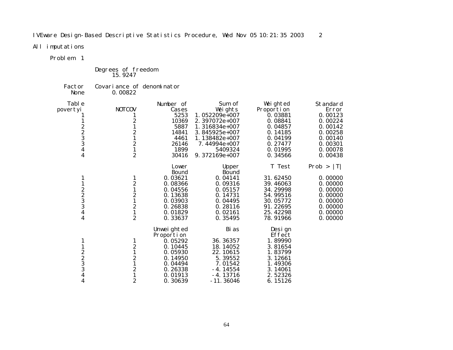IVEware Design-Based Descriptive Statistics Procedure, Wed Nov 05 10:21:35 2003 2

All imputations

Problem 1

Degrees of freedom 15.9247

Factor Covariance of denominator None 0.00822

| Tabl e                                      |                  | Number of    | Sum of           | Weighted    | Standard     |
|---------------------------------------------|------------------|--------------|------------------|-------------|--------------|
| povertyi                                    | <b>NOTCOV</b>    | Cases        | Weights          | Proporti on | Error        |
|                                             |                  | 5253         | 1.052209e+007    | 0.03881     | 0.00123      |
|                                             | 2                | 10369        | 2.397072e+007    | 0.08841     | 0.00224      |
|                                             |                  | 5887         | $1.316834e+007$  | 0.04857     | 0.00142      |
|                                             | $\boldsymbol{2}$ | 14841        | 3.845925e+007    | 0.14185     | 0.00258      |
| $2\over 2\over 3$<br>$3$                    | $\mathbf{1}$     | 4461         | 1.138482 $e+007$ | 0.04199     | 0.00140      |
|                                             |                  | 26146        | $7.44994e+007$   | 0.27477     | 0.00301      |
| 4                                           | $\frac{2}{1}$    | 1899         | 5409324          | 0.01995     | 0.00078      |
| $\boldsymbol{4}$                            | $\overline{c}$   | 30416        | 9.372169e+007    | 0.34566     | 0.00438      |
|                                             |                  | Lower        | Upper            | T Test      | Prob ><br> T |
|                                             |                  | <b>Bound</b> | <b>Bound</b>     |             |              |
|                                             | 1                | 0.03621      | 0.04141          | 31.62450    | 0.00000      |
| 1                                           | $\boldsymbol{2}$ | 0.08366      | 0.09316          | 39.46063    | 0.00000      |
|                                             | $\mathbf{1}$     | 0.04556      | 0.05157          | 34.29998    | 0.00000      |
| $2\over 2\over 3$<br>$3$                    | $\frac{2}{1}$    | 0.13638      | 0.14731          | 54.99516    | 0.00000      |
|                                             |                  | 0.03903      | 0.04495          | 30.05772    | 0.00000      |
|                                             | $\frac{2}{1}$    | 0.26838      | 0.28116          | 91.22695    | 0.00000      |
| $\boldsymbol{4}$                            |                  | 0.01829      | 0.02161          | 25.42298    | 0.00000      |
| 4                                           | $\overline{c}$   | 0.33637      | 0.35495          | 78.91966    | 0.00000      |
|                                             |                  | Unweighted   | Bi as            | Design      |              |
|                                             |                  | Proportion   |                  | Effect      |              |
| 1                                           | $\mathbf{1}$     | 0.05292      | 36.36357         | 1.89990     |              |
|                                             | $\boldsymbol{2}$ | 0.10445      | 18.14052         | 3.81654     |              |
|                                             | $\mathbf{1}$     | 0.05930      | 22.10615         | 1.83799     |              |
| $\begin{smallmatrix}2\2\3\end{smallmatrix}$ | $\frac{2}{1}$    | 0.14950      | 5.39552          | 3.12661     |              |
|                                             |                  | 0.04494      | 7.01542          | 1.49306     |              |
| $\overline{3}$                              | $\boldsymbol{2}$ | 0.26338      | $-4.14554$       | 3.14061     |              |
| 4                                           | $\mathbf{1}$     | 0.01913      | $-4.13716$       | 2.52326     |              |
| 4                                           | $\boldsymbol{2}$ | 0.30639      | $-11.36046$      | 6.15126     |              |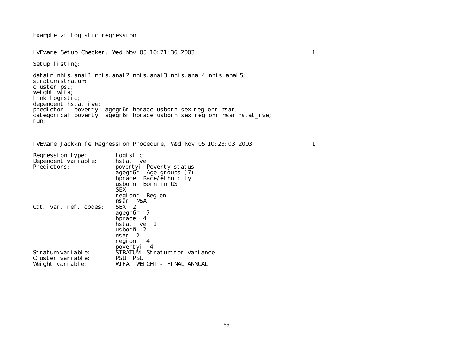Example 2: Logistic regression

IVEware Setup Checker, Wed Nov 05 10:21:36 2003 1

Setup listing:

datain nhis. anal 1 nhis. anal 2 nhis. anal 3 nhis. anal 4 nhis. anal 5; stratum stratum; cluster psu; weight wtfa; link logistic; dependent hstat\_ive; predictor povertyi agegr6r hprace usborn sex regionr msar; categorical povertyi agegr6r hprace usborn sex regionr msar hstat\_ive; run;

IVEware Jackknife Regression Procedure, Wed Nov 05 10:23:03 2003 1

| Regression type:      | Logistic                      |
|-----------------------|-------------------------------|
| Dependent vari able:  | hstat ive                     |
| Predictors:           | povertyi Poverty status       |
|                       | agegr6r Age groups (7)        |
|                       | hprace Race/ethnicity         |
|                       | usborn Born in US             |
|                       |                               |
|                       | <b>SEX</b>                    |
|                       | regionr Region                |
|                       | msar MSA                      |
| Cat. var. ref. codes: | SEX 2                         |
|                       | agegr <sub>6</sub> r 7        |
|                       | hprace 4                      |
|                       | hstat_ive 1                   |
|                       | usborn 2                      |
|                       |                               |
|                       | msar <sub>2</sub>             |
|                       | regionr 4                     |
|                       | povertyi 4                    |
| Stratum variable:     | STRATUM Stratum for Variance  |
| Cluster variable:     | <b>PSU PSU</b>                |
| Weight variable:      | WTFA<br>WEIGHT - FINAL ANNUAL |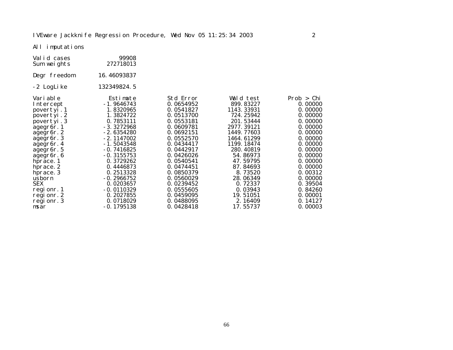All imputations

| Valid cases<br>Sum weights | 99908<br>272718013 |           |            |            |
|----------------------------|--------------------|-----------|------------|------------|
| Degr freedom               | 16.46093837        |           |            |            |
| -2 LogLike                 | 132349824.5        |           |            |            |
| Vari abl e                 | Estimate           | Std Error | Wald test  | Prob > Chi |
| Intercept                  | $-1.9646743$       | 0.0654952 | 899.83227  | 0.00000    |
| povertyi.1                 | 1.8320965          | 0.0541827 | 1143.33931 | 0.00000    |
| povertyi.2                 | 1.3824722          | 0.0513700 | 724.25942  | 0.00000    |
| povertyi.3                 | 0.7853111          | 0.0553181 | 201.53444  | 0.00000    |
| agegr6r. 1                 | $-3.3272968$       | 0.0609781 | 2977.39121 | 0.00000    |
| agegr <sub>6r.2</sub>      | - 2.6354280        | 0.0692151 | 1449.77603 | 0.00000    |
| agegr6r.3                  | $-2.1147002$       | 0.0552570 | 1464.61299 | 0.00000    |
| agegr <sub>6r. 4</sub>     | - 1.5043548        | 0.0434417 | 1199.18474 | 0.00000    |
| agegr <sub>6r.5</sub>      | $-0.7416825$       | 0.0442917 | 280.40819  | 0.00000    |
| agegr <sub>6r.6</sub>      | $-0.3155753$       | 0.0426026 | 54.86973   | 0.00000    |
| hprace. 1                  | 0.3729262          | 0.0540541 | 47.59795   | 0.00000    |
| hprace. 2                  | 0.4446873          | 0.0474451 | 87.84693   | 0.00000    |
| hprace. 3                  | 0.2513328          | 0.0850379 | 8.73520    | 0.00312    |
| usborn                     | $-0.2966752$       | 0.0560029 | 28.06349   | 0.00000    |
| <b>SEX</b>                 | 0.0203657          | 0.0239452 | 0.72337    | 0.39504    |
| regionr. 1                 | $-0.0110329$       | 0.0555605 | 0.03943    | 0.84260    |
| regionr. 2                 | 0.2027855          | 0.0459095 | 19.51051   | 0.00001    |
| regionr. 3                 | 0.0718029          | 0.0488095 | 2.16409    | 0.14127    |
| msar                       | $-0.1795138$       | 0.0428418 | 17.55737   | 0.00003    |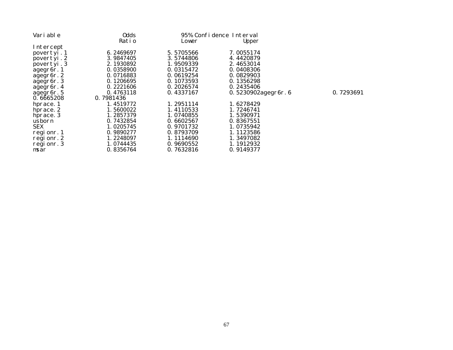| Vari able               | 0dds      |           | 95% Confidence Interval |           |
|-------------------------|-----------|-----------|-------------------------|-----------|
|                         | Ratio     | Lower     | Upper                   |           |
| Intercept               |           |           |                         |           |
| povertyi.1              | 6.2469697 | 5.5705566 | 7.0055174               |           |
| povertyi.2              | 3.9847405 | 3.5744806 | 4.4420879               |           |
| povertyi.3              | 2.1930892 | 1.9509339 | 2.4653014               |           |
| agegr <sub>6</sub> r. 1 | 0.0358900 | 0.0315472 | 0.0408306               |           |
| agegr6r.2               | 0.0716883 | 0.0619254 | 0.0829903               |           |
| agegr <sub>6r.3</sub>   | 0.1206695 | 0.1073593 | 0.1356298               |           |
| agegr6r. 4              | 0.2221606 | 0.2026574 | 0.2435406               |           |
| agegr6r. 5              | 0.4763118 | 0.4337167 | 0.5230902agegr6r.6      | 0.7293691 |
| 0.6665208               | 0.7981436 |           |                         |           |
| hprace. 1               | 1.4519772 | 1.2951114 | 1.6278429               |           |
| hprace. 2               | 1.5600022 | 1.4110533 | 1.7246741               |           |
| hprace. 3               | 1.2857379 | 1.0740855 | 1.5390971               |           |
| usborn                  | 0.7432854 | 0.6602567 | 0.8367551               |           |
| <b>SEX</b>              | 1.0205745 | 0.9701732 | 1.0735942               |           |
| regionr. 1              | 0.9890277 | 0.8793709 | 1.1123586               |           |
| regionr. 2              | 1.2248097 | 1.1114690 | 1.3497082               |           |
| regionr. 3              | 1.0744435 | 0.9690552 | 1.1912932               |           |
| msar                    | 0.8356764 | 0.7632816 | 0.9149377               |           |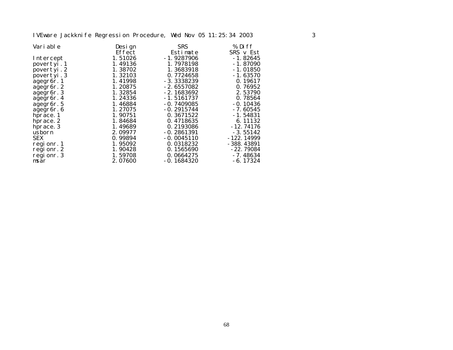## IVEware Jackknife Regression Procedure, Wed Nov 05 11:25:34 2003 3

| Vari abl e            | Design  | <b>SRS</b>   | % Diff       |
|-----------------------|---------|--------------|--------------|
|                       | Effect  | Estimate     | SRS v Est    |
| Intercept             | 1.51026 | $-1.9287906$ | $-1.82645$   |
| povertyi.1            | 1.49136 | 1.7978198    | $-1.87090$   |
| povertyi.2            | 1.38702 | 1.3683918    | $-1.01850$   |
| povertyi.3            | 1.32103 | 0.7724658    | $-1.63570$   |
| agegr6r. 1            | 1.41998 | $-3.3338239$ | 0.19617      |
| agegr6r.2             | 1.20875 | $-2.6557082$ | 0.76952      |
| agegr <sub>6r.3</sub> | 1.32854 | $-2.1683692$ | 2.53790      |
| agegr <sub>6r.4</sub> | 1.24336 | $-1.5161737$ | 0.78564      |
| agegr <sub>6r.5</sub> | 1.46884 | $-0.7409085$ | $-0.10436$   |
| agegr <sub>6r.6</sub> | 1.27075 | $-0.2915744$ | $-7.60545$   |
| hprace. 1             | 1.90751 | 0.3671522    | $-1.54831$   |
| hprace. 2             | 1.84684 | 0.4718635    | 6.11132      |
| hprace. 3             | 1.49689 | 0.2193086    | $-12.74176$  |
| usborn                | 2.09977 | $-0.2861391$ | $-3.55142$   |
| <b>SEX</b>            | 0.99894 | $-0.0045110$ | $-122.14999$ |
| regionr. 1            | 1.95092 | 0.0318232    | $-388.43891$ |
| regionr. 2            | 1.90428 | 0.1565690    | $-22.79084$  |
| regionr. 3            | 1.59708 | 0.0664275    | $-7.48634$   |
| msar                  | 2.07600 | $-0.1684320$ | $-6.17324$   |